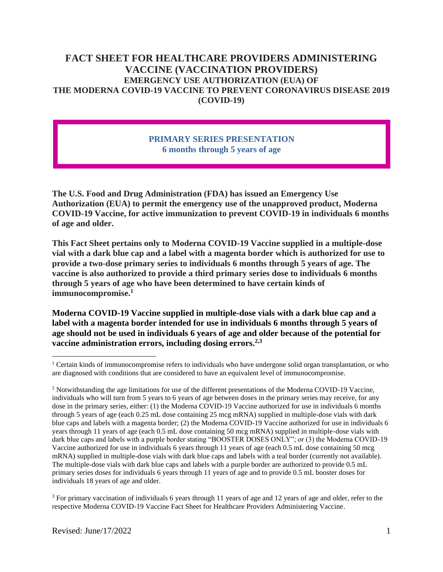# **FACT SHEET FOR HEALTHCARE PROVIDERS ADMINISTERING VACCINE (VACCINATION PROVIDERS) EMERGENCY USE AUTHORIZATION (EUA) OF THE MODERNA COVID-19 VACCINE TO PREVENT CORONAVIRUS DISEASE 2019 (COVID-19)**

### **PRIMARY SERIES PRESENTATION 6 months through 5 years of age**

**The U.S. Food and Drug Administration (FDA) has issued an Emergency Use Authorization (EUA) to permit the emergency use of the unapproved product, Moderna COVID-19 Vaccine, for active immunization to prevent COVID-19 in individuals 6 months of age and older.**

**This Fact Sheet pertains only to Moderna COVID-19 Vaccine supplied in a multiple-dose vial with a dark blue cap and a label with a magenta border which is authorized for use to provide a two-dose primary series to individuals 6 months through 5 years of age. The vaccine is also authorized to provide a third primary series dose to individuals 6 months through 5 years of age who have been determined to have certain kinds of immunocompromise.<sup>1</sup>**

**Moderna COVID-19 Vaccine supplied in multiple-dose vials with a dark blue cap and a label with a magenta border intended for use in individuals 6 months through 5 years of age should not be used in individuals 6 years of age and older because of the potential for vaccine administration errors, including dosing errors.2,3**

<sup>&</sup>lt;sup>1</sup> Certain kinds of immunocompromise refers to individuals who have undergone solid organ transplantation, or who are diagnosed with conditions that are considered to have an equivalent level of immunocompromise.

<sup>&</sup>lt;sup>2</sup> Notwithstanding the age limitations for use of the different presentations of the Moderna COVID-19 Vaccine, individuals who will turn from 5 years to 6 years of age between doses in the primary series may receive, for any dose in the primary series, either: (1) the Moderna COVID-19 Vaccine authorized for use in individuals 6 months through 5 years of age (each 0.25 mL dose containing 25 mcg mRNA) supplied in multiple-dose vials with dark blue caps and labels with a magenta border; (2) the Moderna COVID-19 Vaccine authorized for use in individuals 6 years through 11 years of age (each 0.5 mL dose containing 50 mcg mRNA) supplied in multiple-dose vials with dark blue caps and labels with a purple border stating "BOOSTER DOSES ONLY"; or (3) the Moderna COVID-19 Vaccine authorized for use in individuals 6 years through 11 years of age (each 0.5 mL dose containing 50 mcg mRNA) supplied in multiple-dose vials with dark blue caps and labels with a teal border (currently not available). The multiple-dose vials with dark blue caps and labels with a purple border are authorized to provide 0.5 mL primary series doses for individuals 6 years through 11 years of age and to provide 0.5 mL booster doses for individuals 18 years of age and older.

<sup>&</sup>lt;sup>3</sup> For primary vaccination of individuals 6 years through 11 years of age and 12 years of age and older, refer to the respective Moderna COVID-19 Vaccine Fact Sheet for Healthcare Providers Administering Vaccine.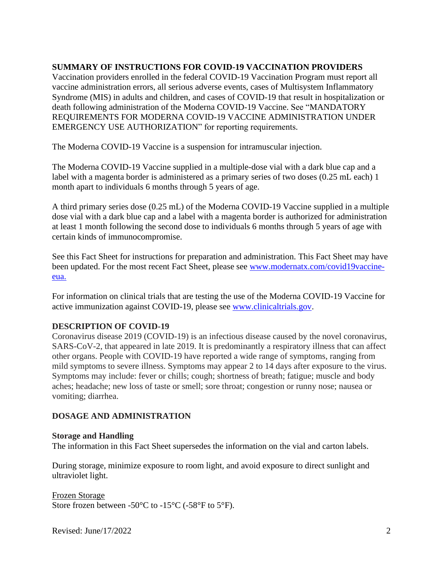## **SUMMARY OF INSTRUCTIONS FOR COVID-19 VACCINATION PROVIDERS**

Vaccination providers enrolled in the federal COVID-19 Vaccination Program must report all vaccine administration errors, all serious adverse events, cases of Multisystem Inflammatory Syndrome (MIS) in adults and children, and cases of COVID-19 that result in hospitalization or death following administration of the Moderna COVID-19 Vaccine. See "MANDATORY REQUIREMENTS FOR MODERNA COVID-19 VACCINE ADMINISTRATION UNDER EMERGENCY USE AUTHORIZATION" for reporting requirements.

The Moderna COVID-19 Vaccine is a suspension for intramuscular injection.

The Moderna COVID-19 Vaccine supplied in a multiple-dose vial with a dark blue cap and a label with a magenta border is administered as a primary series of two doses (0.25 mL each) 1 month apart to individuals 6 months through 5 years of age.

A third primary series dose (0.25 mL) of the Moderna COVID-19 Vaccine supplied in a multiple dose vial with a dark blue cap and a label with a magenta border is authorized for administration at least 1 month following the second dose to individuals 6 months through 5 years of age with certain kinds of immunocompromise.

See this Fact Sheet for instructions for preparation and administration. This Fact Sheet may have been updated. For the most recent Fact Sheet, please see www.modernatx.com/covid19vaccineeua.

For information on clinical trials that are testing the use of the Moderna COVID-19 Vaccine for active immunization against COVID-19, please see www.clinicaltrials.gov.

## **DESCRIPTION OF COVID-19**

Coronavirus disease 2019 (COVID-19) is an infectious disease caused by the novel coronavirus, SARS-CoV-2, that appeared in late 2019. It is predominantly a respiratory illness that can affect other organs. People with COVID-19 have reported a wide range of symptoms, ranging from mild symptoms to severe illness. Symptoms may appear 2 to 14 days after exposure to the virus. Symptoms may include: fever or chills; cough; shortness of breath; fatigue; muscle and body aches; headache; new loss of taste or smell; sore throat; congestion or runny nose; nausea or vomiting; diarrhea.

# **DOSAGE AND ADMINISTRATION**

## **Storage and Handling**

The information in this Fact Sheet supersedes the information on the vial and carton labels.

During storage, minimize exposure to room light, and avoid exposure to direct sunlight and ultraviolet light.

Frozen Storage Store frozen between -50°C to -15°C (-58°F to 5°F).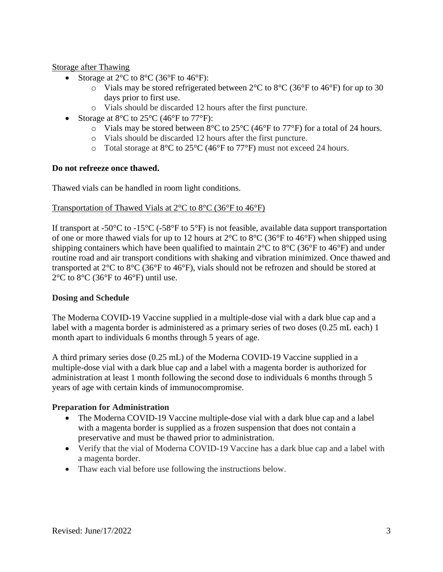### Storage after Thawing

- Storage at  $2^{\circ}$ C to  $8^{\circ}$ C (36 $^{\circ}$ F to 46 $^{\circ}$ F):
	- $\circ$  Vials may be stored refrigerated between 2°C to 8°C (36°F to 46°F) for up to 30 days prior to first use.
	- o Vials should be discarded 12 hours after the first puncture.
- Storage at  $8^{\circ}$ C to  $25^{\circ}$ C (46 $^{\circ}$ F to 77 $^{\circ}$ F):
	- $\circ$  Vials may be stored between 8°C to 25°C (46°F to 77°F) for a total of 24 hours.
	- o Vials should be discarded 12 hours after the first puncture.
	- o Total storage at 8°C to 25°C (46°F to 77°F) must not exceed 24 hours.

#### **Do not refreeze once thawed.**

Thawed vials can be handled in room light conditions.

#### Transportation of Thawed Vials at 2°C to 8°C (36°F to 46°F)

If transport at -50 $^{\circ}$ C to -15 $^{\circ}$ C (-58 $^{\circ}$ F to 5 $^{\circ}$ F) is not feasible, available data support transportation of one or more thawed vials for up to 12 hours at  $2^{\circ}$ C to  $8^{\circ}$ C (36°F to 46°F) when shipped using shipping containers which have been qualified to maintain 2°C to 8°C (36°F to 46°F) and under routine road and air transport conditions with shaking and vibration minimized. Once thawed and transported at 2°C to 8°C (36°F to 46°F), vials should not be refrozen and should be stored at  $2^{\circ}$ C to  $8^{\circ}$ C (36 $^{\circ}$ F to 46 $^{\circ}$ F) until use.

#### **Dosing and Schedule**

The Moderna COVID-19 Vaccine supplied in a multiple-dose vial with a dark blue cap and a label with a magenta border is administered as a primary series of two doses (0.25 mL each) 1 month apart to individuals 6 months through 5 years of age.

A third primary series dose (0.25 mL) of the Moderna COVID-19 Vaccine supplied in a multiple-dose vial with a dark blue cap and a label with a magenta border is authorized for administration at least 1 month following the second dose to individuals 6 months through 5 years of age with certain kinds of immunocompromise.

#### **Preparation for Administration**

- The Moderna COVID-19 Vaccine multiple-dose vial with a dark blue cap and a label with a magenta border is supplied as a frozen suspension that does not contain a preservative and must be thawed prior to administration.
- Verify that the vial of Moderna COVID-19 Vaccine has a dark blue cap and a label with a magenta border.
- Thaw each vial before use following the instructions below.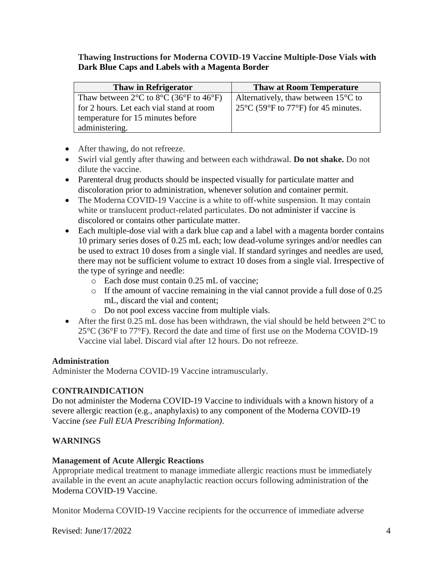**Thawing Instructions for Moderna COVID-19 Vaccine Multiple-Dose Vials with Dark Blue Caps and Labels with a Magenta Border**

| <b>Thaw in Refrigerator</b>                                                          | <b>Thaw at Room Temperature</b>                                     |
|--------------------------------------------------------------------------------------|---------------------------------------------------------------------|
| Thaw between $2^{\circ}$ C to $8^{\circ}$ C (36 <sup>o</sup> F to 46 <sup>o</sup> F) | Alternatively, thaw between $15^{\circ}$ C to                       |
| for 2 hours. Let each vial stand at room                                             | $25^{\circ}$ C (59 $^{\circ}$ F to 77 $^{\circ}$ F) for 45 minutes. |
| temperature for 15 minutes before                                                    |                                                                     |
| administering.                                                                       |                                                                     |

- After thawing, do not refreeze.
- Swirl vial gently after thawing and between each withdrawal. **Do not shake.** Do not dilute the vaccine.
- Parenteral drug products should be inspected visually for particulate matter and discoloration prior to administration, whenever solution and container permit.
- The Moderna COVID-19 Vaccine is a white to off-white suspension. It may contain white or translucent product-related particulates. Do not administer if vaccine is discolored or contains other particulate matter.
- Each multiple-dose vial with a dark blue cap and a label with a magenta border contains 10 primary series doses of 0.25 mL each; low dead-volume syringes and/or needles can be used to extract 10 doses from a single vial. If standard syringes and needles are used, there may not be sufficient volume to extract 10 doses from a single vial. Irrespective of the type of syringe and needle:
	- o Each dose must contain 0.25 mL of vaccine;
	- o If the amount of vaccine remaining in the vial cannot provide a full dose of 0.25 mL, discard the vial and content;
	- o Do not pool excess vaccine from multiple vials.
- After the first 0.25 mL dose has been withdrawn, the vial should be held between  $2^{\circ}$ C to  $25^{\circ}$ C (36 $^{\circ}$ F to 77 $^{\circ}$ F). Record the date and time of first use on the Moderna COVID-19 Vaccine vial label. Discard vial after 12 hours. Do not refreeze.

#### **Administration**

Administer the Moderna COVID-19 Vaccine intramuscularly.

## **CONTRAINDICATION**

Do not administer the Moderna COVID-19 Vaccine to individuals with a known history of a severe allergic reaction (e.g., anaphylaxis) to any component of the Moderna COVID-19 Vaccine *(see Full EUA Prescribing Information)*.

## **WARNINGS**

#### **Management of Acute Allergic Reactions**

Appropriate medical treatment to manage immediate allergic reactions must be immediately available in the event an acute anaphylactic reaction occurs following administration of the Moderna COVID-19 Vaccine.

Monitor Moderna COVID-19 Vaccine recipients for the occurrence of immediate adverse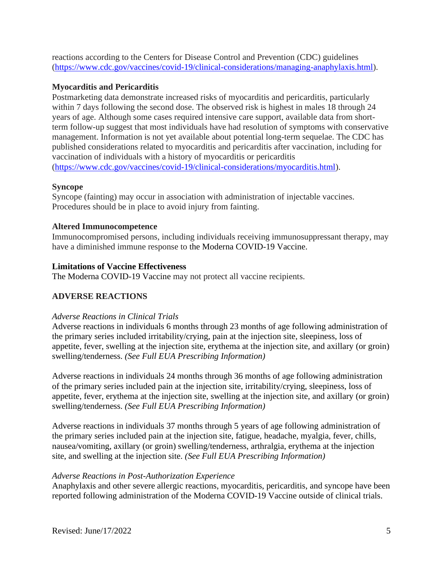reactions according to the Centers for Disease Control and Prevention (CDC) guidelines (https://www.cdc.gov/vaccines/covid-19/clinical-considerations/managing-anaphylaxis.html).

### **Myocarditis and Pericarditis**

Postmarketing data demonstrate increased risks of myocarditis and pericarditis, particularly within 7 days following the second dose. The observed risk is highest in males 18 through 24 years of age. Although some cases required intensive care support, available data from shortterm follow-up suggest that most individuals have had resolution of symptoms with conservative management. Information is not yet available about potential long-term sequelae. The CDC has published considerations related to myocarditis and pericarditis after vaccination, including for vaccination of individuals with a history of myocarditis or pericarditis [\(https://www.cdc.gov/vaccines/covid-19/clinical-considerations/myocarditis.html\)](https://www.cdc.gov/vaccines/covid-19/clinical-considerations/myocarditis.html).

### **Syncope**

Syncope (fainting) may occur in association with administration of injectable vaccines. Procedures should be in place to avoid injury from fainting.

#### **Altered Immunocompetence**

Immunocompromised persons, including individuals receiving immunosuppressant therapy, may have a diminished immune response to the Moderna COVID-19 Vaccine.

### **Limitations of Vaccine Effectiveness**

The Moderna COVID-19 Vaccine may not protect all vaccine recipients.

## **ADVERSE REACTIONS**

#### *Adverse Reactions in Clinical Trials*

Adverse reactions in individuals 6 months through 23 months of age following administration of the primary series included irritability/crying, pain at the injection site, sleepiness, loss of appetite, fever, swelling at the injection site, erythema at the injection site, and axillary (or groin) swelling/tenderness. *(See Full EUA Prescribing Information)*

Adverse reactions in individuals 24 months through 36 months of age following administration of the primary series included pain at the injection site, irritability/crying, sleepiness, loss of appetite, fever, erythema at the injection site, swelling at the injection site, and axillary (or groin) swelling/tenderness. *(See Full EUA Prescribing Information)*

Adverse reactions in individuals 37 months through 5 years of age following administration of the primary series included pain at the injection site, fatigue, headache, myalgia, fever, chills, nausea/vomiting, axillary (or groin) swelling/tenderness, arthralgia, erythema at the injection site, and swelling at the injection site. *(See Full EUA Prescribing Information)*

#### *Adverse Reactions in Post-Authorization Experience*

Anaphylaxis and other severe allergic reactions, myocarditis, pericarditis, and syncope have been reported following administration of the Moderna COVID-19 Vaccine outside of clinical trials.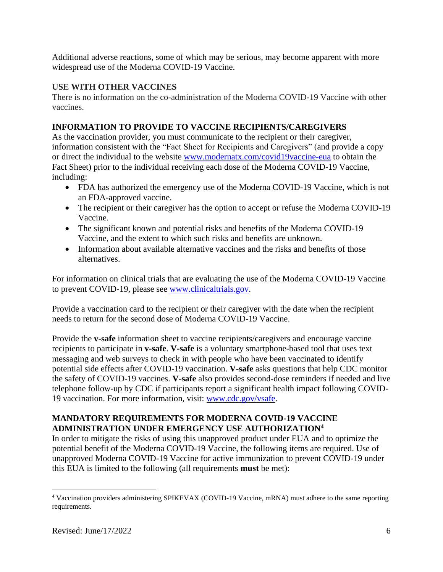Additional adverse reactions, some of which may be serious, may become apparent with more widespread use of the Moderna COVID-19 Vaccine.

# **USE WITH OTHER VACCINES**

There is no information on the co-administration of the Moderna COVID-19 Vaccine with other vaccines.

# **INFORMATION TO PROVIDE TO VACCINE RECIPIENTS/CAREGIVERS**

As the vaccination provider, you must communicate to the recipient or their caregiver, information consistent with the "Fact Sheet for Recipients and Caregivers" (and provide a copy or direct the individual to the website www.modernatx.com/covid19vaccine-eua to obtain the Fact Sheet) prior to the individual receiving each dose of the Moderna COVID-19 Vaccine, including:

- FDA has authorized the emergency use of the Moderna COVID-19 Vaccine, which is not an FDA-approved vaccine.
- The recipient or their caregiver has the option to accept or refuse the Moderna COVID-19 Vaccine.
- The significant known and potential risks and benefits of the Moderna COVID-19 Vaccine, and the extent to which such risks and benefits are unknown.
- Information about available alternative vaccines and the risks and benefits of those alternatives.

For information on clinical trials that are evaluating the use of the Moderna COVID-19 Vaccine to prevent COVID-19, please see www.clinicaltrials.gov.

Provide a vaccination card to the recipient or their caregiver with the date when the recipient needs to return for the second dose of Moderna COVID-19 Vaccine.

Provide the **v-safe** information sheet to vaccine recipients/caregivers and encourage vaccine recipients to participate in **v-safe**. **V-safe** is a voluntary smartphone-based tool that uses text messaging and web surveys to check in with people who have been vaccinated to identify potential side effects after COVID-19 vaccination. **V-safe** asks questions that help CDC monitor the safety of COVID-19 vaccines. **V-safe** also provides second-dose reminders if needed and live telephone follow-up by CDC if participants report a significant health impact following COVID-19 vaccination. For more information, visit: www.cdc.gov/vsafe.

## **MANDATORY REQUIREMENTS FOR MODERNA COVID-19 VACCINE ADMINISTRATION UNDER EMERGENCY USE AUTHORIZATION<sup>4</sup>**

In order to mitigate the risks of using this unapproved product under EUA and to optimize the potential benefit of the Moderna COVID-19 Vaccine, the following items are required. Use of unapproved Moderna COVID-19 Vaccine for active immunization to prevent COVID-19 under this EUA is limited to the following (all requirements **must** be met):

<sup>4</sup> Vaccination providers administering SPIKEVAX (COVID-19 Vaccine, mRNA) must adhere to the same reporting requirements.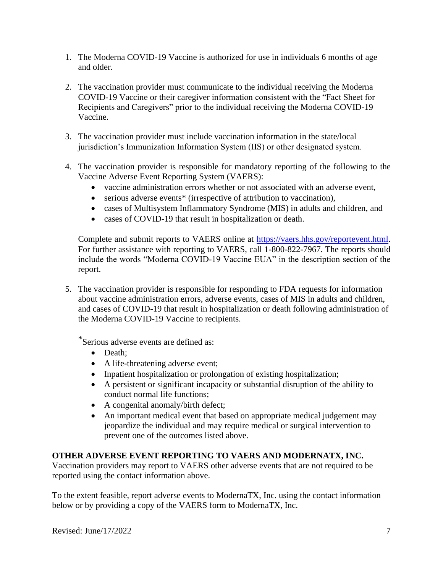- 1. The Moderna COVID-19 Vaccine is authorized for use in individuals 6 months of age and older.
- 2. The vaccination provider must communicate to the individual receiving the Moderna COVID-19 Vaccine or their caregiver information consistent with the "Fact Sheet for Recipients and Caregivers" prior to the individual receiving the Moderna COVID-19 Vaccine.
- 3. The vaccination provider must include vaccination information in the state/local jurisdiction's Immunization Information System (IIS) or other designated system.
- 4. The vaccination provider is responsible for mandatory reporting of the following to the Vaccine Adverse Event Reporting System (VAERS):
	- vaccine administration errors whether or not associated with an adverse event,
	- serious adverse events<sup>\*</sup> (irrespective of attribution to vaccination),
	- cases of Multisystem Inflammatory Syndrome (MIS) in adults and children, and
	- cases of COVID-19 that result in hospitalization or death.

Complete and submit reports to VAERS online at https://vaers.hhs.gov/reportevent.html. For further assistance with reporting to VAERS, call 1-800-822-7967. The reports should include the words "Moderna COVID-19 Vaccine EUA" in the description section of the report.

5. The vaccination provider is responsible for responding to FDA requests for information about vaccine administration errors, adverse events, cases of MIS in adults and children, and cases of COVID-19 that result in hospitalization or death following administration of the Moderna COVID-19 Vaccine to recipients.

\*Serious adverse events are defined as:

- Death;
- A life-threatening adverse event;
- Inpatient hospitalization or prolongation of existing hospitalization;
- A persistent or significant incapacity or substantial disruption of the ability to conduct normal life functions;
- A congenital anomaly/birth defect;
- An important medical event that based on appropriate medical judgement may jeopardize the individual and may require medical or surgical intervention to prevent one of the outcomes listed above.

## **OTHER ADVERSE EVENT REPORTING TO VAERS AND MODERNATX, INC.**

Vaccination providers may report to VAERS other adverse events that are not required to be reported using the contact information above.

To the extent feasible, report adverse events to ModernaTX, Inc. using the contact information below or by providing a copy of the VAERS form to ModernaTX, Inc.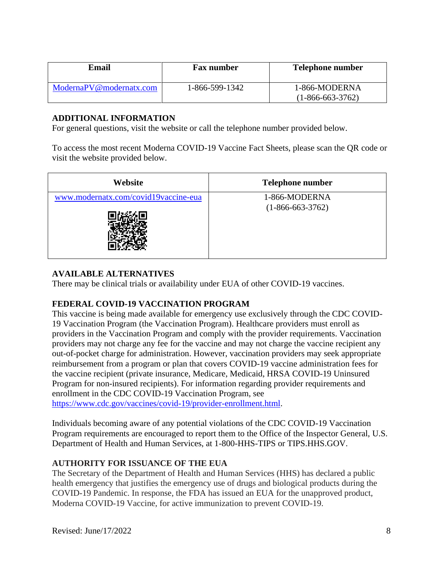| Email                   | <b>Fax number</b> | <b>Telephone number</b>             |
|-------------------------|-------------------|-------------------------------------|
| ModernaPV@modernatx.com | 1-866-599-1342    | 1-866-MODERNA<br>$(1-866-663-3762)$ |

### **ADDITIONAL INFORMATION**

For general questions, visit the website or call the telephone number provided below.

To access the most recent Moderna COVID-19 Vaccine Fact Sheets, please scan the QR code or visit the website provided below.

| Website                              | <b>Telephone number</b>             |
|--------------------------------------|-------------------------------------|
| www.modernatx.com/covid19vaccine-eua | 1-866-MODERNA<br>$(1-866-663-3762)$ |

# **AVAILABLE ALTERNATIVES**

There may be clinical trials or availability under EUA of other COVID-19 vaccines.

# **FEDERAL COVID-19 VACCINATION PROGRAM**

This vaccine is being made available for emergency use exclusively through the CDC COVID-19 Vaccination Program (the Vaccination Program). Healthcare providers must enroll as providers in the Vaccination Program and comply with the provider requirements. Vaccination providers may not charge any fee for the vaccine and may not charge the vaccine recipient any out-of-pocket charge for administration. However, vaccination providers may seek appropriate reimbursement from a program or plan that covers COVID-19 vaccine administration fees for the vaccine recipient (private insurance, Medicare, Medicaid, HRSA COVID-19 Uninsured Program for non-insured recipients). For information regarding provider requirements and enrollment in the CDC COVID-19 Vaccination Program, see https://www.cdc.gov/vaccines/covid-19/provider-enrollment.html.

Individuals becoming aware of any potential violations of the CDC COVID-19 Vaccination Program requirements are encouraged to report them to the Office of the Inspector General, U.S. Department of Health and Human Services, at 1-800-HHS-TIPS or TIPS.HHS.GOV.

## **AUTHORITY FOR ISSUANCE OF THE EUA**

The Secretary of the Department of Health and Human Services (HHS) has declared a public health emergency that justifies the emergency use of drugs and biological products during the COVID-19 Pandemic. In response, the FDA has issued an EUA for the unapproved product, Moderna COVID-19 Vaccine, for active immunization to prevent COVID-19.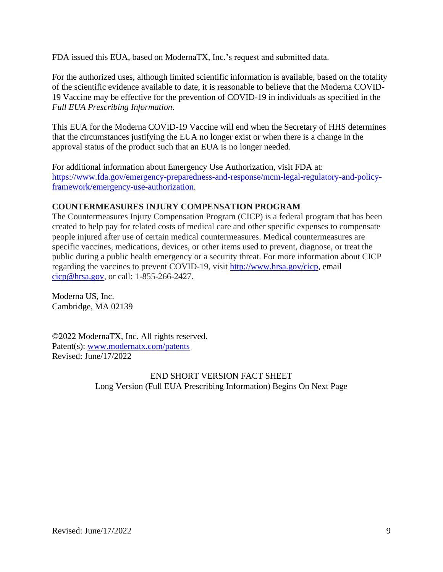FDA issued this EUA, based on ModernaTX, Inc.'s request and submitted data.

For the authorized uses, although limited scientific information is available, based on the totality of the scientific evidence available to date, it is reasonable to believe that the Moderna COVID-19 Vaccine may be effective for the prevention of COVID-19 in individuals as specified in the *Full EUA Prescribing Information*.

This EUA for the Moderna COVID-19 Vaccine will end when the Secretary of HHS determines that the circumstances justifying the EUA no longer exist or when there is a change in the approval status of the product such that an EUA is no longer needed.

For additional information about Emergency Use Authorization, visit FDA at: https://www.fda.gov/emergency-preparedness-and-response/mcm-legal-regulatory-and-policyframework/emergency-use-authorization.

### **COUNTERMEASURES INJURY COMPENSATION PROGRAM**

The Countermeasures Injury Compensation Program (CICP) is a federal program that has been created to help pay for related costs of medical care and other specific expenses to compensate people injured after use of certain medical countermeasures. Medical countermeasures are specific vaccines, medications, devices, or other items used to prevent, diagnose, or treat the public during a public health emergency or a security threat. For more information about CICP regarding the vaccines to prevent COVID-19, visit http://www.hrsa.gov/cicp, email cicp@hrsa.gov, or call: 1-855-266-2427.

Moderna US, Inc. Cambridge, MA 02139

©2022 ModernaTX, Inc. All rights reserved. Patent(s): www.modernatx.com/patents Revised: June/17/2022

## END SHORT VERSION FACT SHEET Long Version (Full EUA Prescribing Information) Begins On Next Page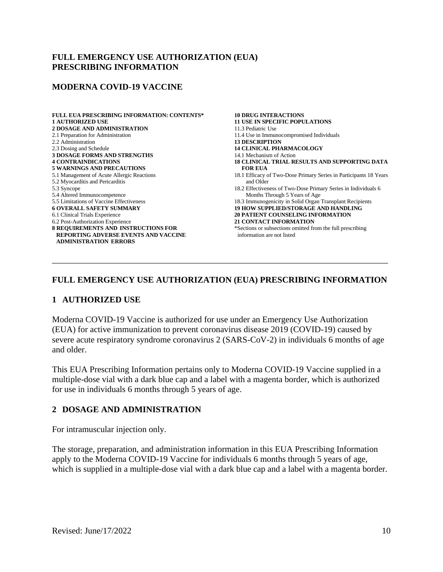### **FULL EMERGENCY USE AUTHORIZATION (EUA) PRESCRIBING INFORMATION**

#### **MODERNA COVID-19 VACCINE**

| <b>FULL EUA PRESCRIBING INFORMATION: CONTENTS*</b> | <b>10 DRUG INTERACTIONS</b>                                       |
|----------------------------------------------------|-------------------------------------------------------------------|
| <b>1 AUTHORIZED USE</b>                            | <b>11 USE IN SPECIFIC POPULATIONS</b>                             |
| <b>2 DOSAGE AND ADMINISTRATION</b>                 | 11.3 Pediatric Use                                                |
| 2.1 Preparation for Administration                 | 11.4 Use in Immunocompromised Individuals                         |
| 2.2 Administration                                 | <b>13 DESCRIPTION</b>                                             |
| 2.3 Dosing and Schedule                            | <b>14 CLINICAL PHARMACOLOGY</b>                                   |
| <b>3 DOSAGE FORMS AND STRENGTHS</b>                | 14.1 Mechanism of Action                                          |
| <b>4 CONTRAINDICATIONS</b>                         | <b>18 CLINICAL TRIAL RESULTS AND SUPPORTING DATA</b>              |
| <b>5 WARNINGS AND PRECAUTIONS</b>                  | <b>FOR EUA</b>                                                    |
| 5.1 Management of Acute Allergic Reactions         | 18.1 Efficacy of Two-Dose Primary Series in Participants 18 Years |
| 5.2 Myocarditis and Pericarditis                   | and Older                                                         |
| 5.3 Syncope                                        | 18.2 Effectiveness of Two-Dose Primary Series in Individuals 6    |
| 5.4 Altered Immunocompetence                       | Months Through 5 Years of Age                                     |
| 5.5 Limitations of Vaccine Effectiveness           | 18.3 Immunogenicity in Solid Organ Transplant Recipients          |
| <b>6 OVERALL SAFETY SUMMARY</b>                    | <b>19 HOW SUPPLIED/STORAGE AND HANDLING</b>                       |
| 6.1 Clinical Trials Experience                     | <b>20 PATIENT COUNSELING INFORMATION</b>                          |
| 6.2 Post-Authorization Experience                  | <b>21 CONTACT INFORMATION</b>                                     |
| <b>8 REQUIREMENTS AND INSTRUCTIONS FOR</b>         | *Sections or subsections omitted from the full prescribing        |
| <b>REPORTING ADVERSE EVENTS AND VACCINE</b>        | information are not listed                                        |
| <b>ADMINISTRATION ERRORS</b>                       |                                                                   |
|                                                    |                                                                   |
|                                                    |                                                                   |
|                                                    |                                                                   |

## **FULL EMERGENCY USE AUTHORIZATION (EUA) PRESCRIBING INFORMATION**

#### **1 AUTHORIZED USE**

Moderna COVID-19 Vaccine is authorized for use under an Emergency Use Authorization (EUA) for active immunization to prevent coronavirus disease 2019 (COVID-19) caused by severe acute respiratory syndrome coronavirus 2 (SARS-CoV-2) in individuals 6 months of age and older.

This EUA Prescribing Information pertains only to Moderna COVID-19 Vaccine supplied in a multiple-dose vial with a dark blue cap and a label with a magenta border, which is authorized for use in individuals 6 months through 5 years of age.

#### **2 DOSAGE AND ADMINISTRATION**

For intramuscular injection only.

The storage, preparation, and administration information in this EUA Prescribing Information apply to the Moderna COVID-19 Vaccine for individuals 6 months through 5 years of age, which is supplied in a multiple-dose vial with a dark blue cap and a label with a magenta border.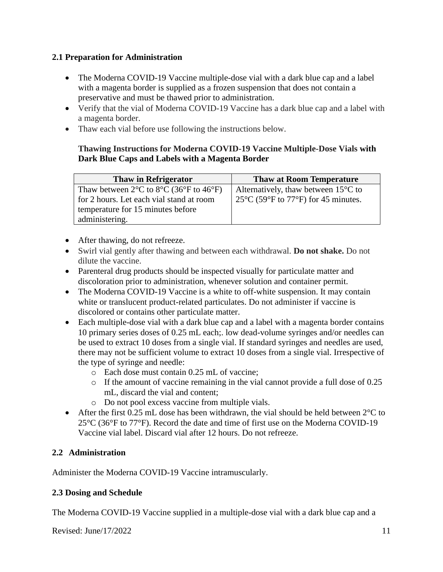# **2.1 Preparation for Administration**

- The Moderna COVID-19 Vaccine multiple-dose vial with a dark blue cap and a label with a magenta border is supplied as a frozen suspension that does not contain a preservative and must be thawed prior to administration.
- Verify that the vial of Moderna COVID-19 Vaccine has a dark blue cap and a label with a magenta border.
- Thaw each vial before use following the instructions below.

## **Thawing Instructions for Moderna COVID-19 Vaccine Multiple-Dose Vials with Dark Blue Caps and Labels with a Magenta Border**

| <b>Thaw in Refrigerator</b>                                                      | <b>Thaw at Room Temperature</b>                                                               |
|----------------------------------------------------------------------------------|-----------------------------------------------------------------------------------------------|
| Thaw between $2^{\circ}$ C to $8^{\circ}$ C (36 $^{\circ}$ F to 46 $^{\circ}$ F) | Alternatively, thaw between $15^{\circ}$ C to                                                 |
| for 2 hours. Let each vial stand at room                                         | 25 $\mathrm{^{\circ}C}$ (59 $\mathrm{^{\circ}F}$ to 77 $\mathrm{^{\circ}F}$ ) for 45 minutes. |
| temperature for 15 minutes before                                                |                                                                                               |
| administering.                                                                   |                                                                                               |

- After thawing, do not refreeze.
- Swirl vial gently after thawing and between each withdrawal. **Do not shake.** Do not dilute the vaccine.
- Parenteral drug products should be inspected visually for particulate matter and discoloration prior to administration, whenever solution and container permit.
- The Moderna COVID-19 Vaccine is a white to off-white suspension. It may contain white or translucent product-related particulates. Do not administer if vaccine is discolored or contains other particulate matter.
- Each multiple-dose vial with a dark blue cap and a label with a magenta border contains 10 primary series doses of 0.25 mL each;. low dead-volume syringes and/or needles can be used to extract 10 doses from a single vial. If standard syringes and needles are used, there may not be sufficient volume to extract 10 doses from a single vial. Irrespective of the type of syringe and needle:
	- o Each dose must contain 0.25 mL of vaccine;
	- o If the amount of vaccine remaining in the vial cannot provide a full dose of 0.25 mL, discard the vial and content;
	- o Do not pool excess vaccine from multiple vials.
- After the first 0.25 mL dose has been withdrawn, the vial should be held between  $2^{\circ}$ C to  $25^{\circ}$ C (36 $^{\circ}$ F to 77 $^{\circ}$ F). Record the date and time of first use on the Moderna COVID-19 Vaccine vial label. Discard vial after 12 hours. Do not refreeze.

# **2.2 Administration**

Administer the Moderna COVID-19 Vaccine intramuscularly.

# **2.3 Dosing and Schedule**

The Moderna COVID-19 Vaccine supplied in a multiple-dose vial with a dark blue cap and a

Revised:  $\text{June}/17/2022$  11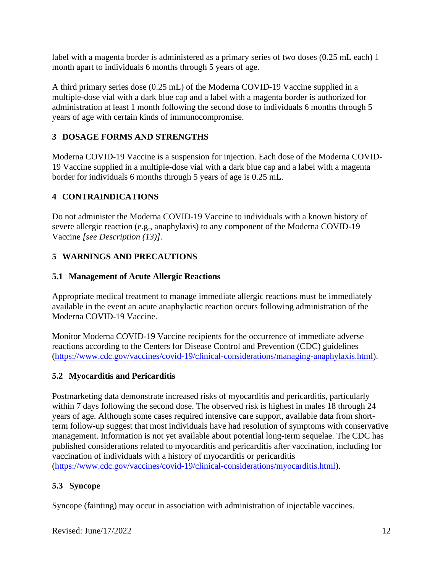label with a magenta border is administered as a primary series of two doses (0.25 mL each) 1 month apart to individuals 6 months through 5 years of age.

A third primary series dose (0.25 mL) of the Moderna COVID-19 Vaccine supplied in a multiple-dose vial with a dark blue cap and a label with a magenta border is authorized for administration at least 1 month following the second dose to individuals 6 months through 5 years of age with certain kinds of immunocompromise.

# **3 DOSAGE FORMS AND STRENGTHS**

Moderna COVID-19 Vaccine is a suspension for injection. Each dose of the Moderna COVID-19 Vaccine supplied in a multiple-dose vial with a dark blue cap and a label with a magenta border for individuals 6 months through 5 years of age is 0.25 mL.

# **4 CONTRAINDICATIONS**

Do not administer the Moderna COVID-19 Vaccine to individuals with a known history of severe allergic reaction (e.g., anaphylaxis) to any component of the Moderna COVID-19 Vaccine *[see Description (13)]*.

# **5 WARNINGS AND PRECAUTIONS**

## **5.1 Management of Acute Allergic Reactions**

Appropriate medical treatment to manage immediate allergic reactions must be immediately available in the event an acute anaphylactic reaction occurs following administration of the Moderna COVID-19 Vaccine.

Monitor Moderna COVID-19 Vaccine recipients for the occurrence of immediate adverse reactions according to the Centers for Disease Control and Prevention (CDC) guidelines (https://www.cdc.gov/vaccines/covid-19/clinical-considerations/managing-anaphylaxis.html).

## **5.2 Myocarditis and Pericarditis**

Postmarketing data demonstrate increased risks of myocarditis and pericarditis, particularly within 7 days following the second dose. The observed risk is highest in males 18 through 24 years of age. Although some cases required intensive care support, available data from shortterm follow-up suggest that most individuals have had resolution of symptoms with conservative management. Information is not yet available about potential long-term sequelae. The CDC has published considerations related to myocarditis and pericarditis after vaccination, including for vaccination of individuals with a history of myocarditis or pericarditis (https://www.cdc.gov/vaccines/covid-19/clinical-considerations/myocarditis.html).

## **5.3 Syncope**

Syncope (fainting) may occur in association with administration of injectable vaccines.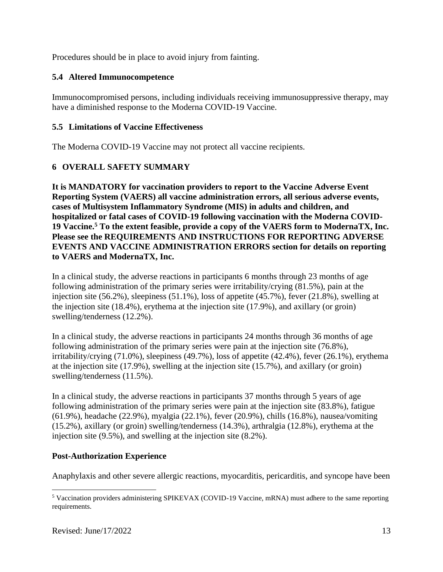Procedures should be in place to avoid injury from fainting.

# **5.4 Altered Immunocompetence**

Immunocompromised persons, including individuals receiving immunosuppressive therapy, may have a diminished response to the Moderna COVID-19 Vaccine.

## **5.5 Limitations of Vaccine Effectiveness**

The Moderna COVID-19 Vaccine may not protect all vaccine recipients.

# **6 OVERALL SAFETY SUMMARY**

**It is MANDATORY for vaccination providers to report to the Vaccine Adverse Event Reporting System (VAERS) all vaccine administration errors, all serious adverse events, cases of Multisystem Inflammatory Syndrome (MIS) in adults and children, and hospitalized or fatal cases of COVID-19 following vaccination with the Moderna COVID-19 Vaccine.<sup>5</sup> To the extent feasible, provide a copy of the VAERS form to ModernaTX, Inc. Please see the REQUIREMENTS AND INSTRUCTIONS FOR REPORTING ADVERSE EVENTS AND VACCINE ADMINISTRATION ERRORS section for details on reporting to VAERS and ModernaTX, Inc.**

In a clinical study, the adverse reactions in participants 6 months through 23 months of age following administration of the primary series were irritability/crying (81.5%), pain at the injection site (56.2%), sleepiness (51.1%), loss of appetite (45.7%), fever (21.8%), swelling at the injection site (18.4%), erythema at the injection site (17.9%), and axillary (or groin) swelling/tenderness (12.2%).

In a clinical study, the adverse reactions in participants 24 months through 36 months of age following administration of the primary series were pain at the injection site (76.8%), irritability/crying (71.0%), sleepiness (49.7%), loss of appetite (42.4%), fever (26.1%), erythema at the injection site (17.9%), swelling at the injection site (15.7%), and axillary (or groin) swelling/tenderness (11.5%).

In a clinical study, the adverse reactions in participants 37 months through 5 years of age following administration of the primary series were pain at the injection site (83.8%), fatigue (61.9%), headache (22.9%), myalgia (22.1%), fever (20.9%), chills (16.8%), nausea/vomiting (15.2%), axillary (or groin) swelling/tenderness (14.3%), arthralgia (12.8%), erythema at the injection site (9.5%), and swelling at the injection site (8.2%).

## **Post-Authorization Experience**

Anaphylaxis and other severe allergic reactions, myocarditis, pericarditis, and syncope have been

<sup>5</sup> Vaccination providers administering SPIKEVAX (COVID-19 Vaccine, mRNA) must adhere to the same reporting requirements.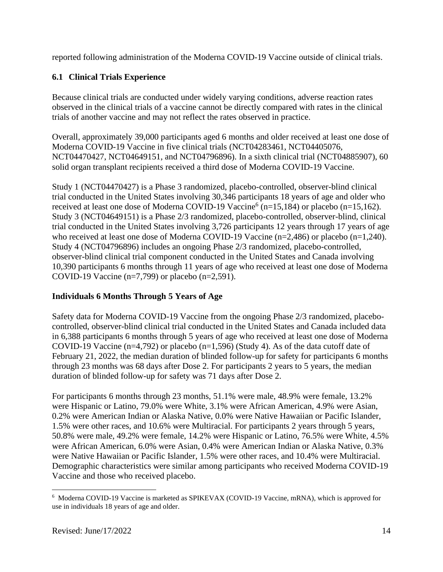reported following administration of the Moderna COVID-19 Vaccine outside of clinical trials.

# **6.1 Clinical Trials Experience**

Because clinical trials are conducted under widely varying conditions, adverse reaction rates observed in the clinical trials of a vaccine cannot be directly compared with rates in the clinical trials of another vaccine and may not reflect the rates observed in practice.

Overall, approximately 39,000 participants aged 6 months and older received at least one dose of Moderna COVID-19 Vaccine in five clinical trials (NCT04283461, NCT04405076, NCT04470427, NCT04649151, and NCT04796896). In a sixth clinical trial (NCT04885907), 60 solid organ transplant recipients received a third dose of Moderna COVID-19 Vaccine.

Study 1 (NCT04470427) is a Phase 3 randomized, placebo-controlled, observer-blind clinical trial conducted in the United States involving 30,346 participants 18 years of age and older who received at least one dose of Moderna COVID-19 Vaccine<sup>6</sup> ( $n=15,184$ ) or placebo ( $n=15,162$ ). Study 3 (NCT04649151) is a Phase 2/3 randomized, placebo-controlled, observer-blind, clinical trial conducted in the United States involving 3,726 participants 12 years through 17 years of age who received at least one dose of Moderna COVID-19 Vaccine (n=2,486) or placebo (n=1,240). Study 4 (NCT04796896) includes an ongoing Phase 2/3 randomized, placebo-controlled, observer-blind clinical trial component conducted in the United States and Canada involving 10,390 participants 6 months through 11 years of age who received at least one dose of Moderna COVID-19 Vaccine (n=7,799) or placebo (n=2,591).

# **Individuals 6 Months Through 5 Years of Age**

Safety data for Moderna COVID-19 Vaccine from the ongoing Phase 2/3 randomized, placebocontrolled, observer-blind clinical trial conducted in the United States and Canada included data in 6,388 participants 6 months through 5 years of age who received at least one dose of Moderna COVID-19 Vaccine (n=4,792) or placebo (n=1,596) (Study 4). As of the data cutoff date of February 21, 2022, the median duration of blinded follow-up for safety for participants 6 months through 23 months was 68 days after Dose 2. For participants 2 years to 5 years, the median duration of blinded follow-up for safety was 71 days after Dose 2.

For participants 6 months through 23 months, 51.1% were male, 48.9% were female, 13.2% were Hispanic or Latino, 79.0% were White, 3.1% were African American, 4.9% were Asian, 0.2% were American Indian or Alaska Native, 0.0% were Native Hawaiian or Pacific Islander, 1.5% were other races, and 10.6% were Multiracial. For participants 2 years through 5 years, 50.8% were male, 49.2% were female, 14.2% were Hispanic or Latino, 76.5% were White, 4.5% were African American, 6.0% were Asian, 0.4% were American Indian or Alaska Native, 0.3% were Native Hawaiian or Pacific Islander, 1.5% were other races, and 10.4% were Multiracial. Demographic characteristics were similar among participants who received Moderna COVID-19 Vaccine and those who received placebo.

<sup>&</sup>lt;sup>6</sup> Moderna COVID-19 Vaccine is marketed as SPIKEVAX (COVID-19 Vaccine, mRNA), which is approved for use in individuals 18 years of age and older.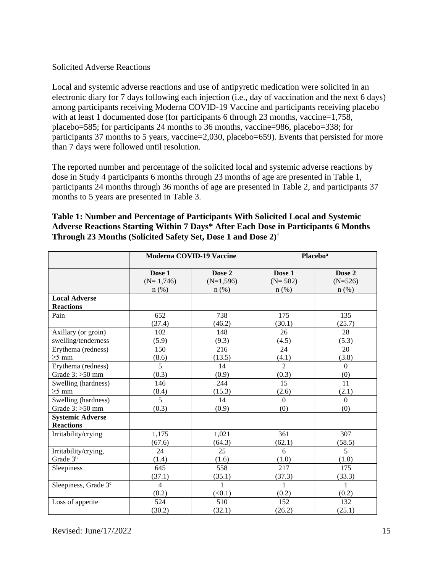### Solicited Adverse Reactions

Local and systemic adverse reactions and use of antipyretic medication were solicited in an electronic diary for 7 days following each injection (i.e., day of vaccination and the next 6 days) among participants receiving Moderna COVID-19 Vaccine and participants receiving placebo with at least 1 documented dose (for participants 6 through 23 months, vaccine=1,758, placebo=585; for participants 24 months to 36 months, vaccine=986, placebo=338; for participants 37 months to 5 years, vaccine=2,030, placebo=659). Events that persisted for more than 7 days were followed until resolution.

The reported number and percentage of the solicited local and systemic adverse reactions by dose in Study 4 participants 6 months through 23 months of age are presented in Table 1, participants 24 months through 36 months of age are presented in Table 2, and participants 37 months to 5 years are presented in Table 3.

|                                  |                | <b>Moderna COVID-19 Vaccine</b> |                | <b>Placebo</b> <sup>a</sup> |
|----------------------------------|----------------|---------------------------------|----------------|-----------------------------|
|                                  | Dose 1         | Dose 2                          | Dose 1         | Dose 2                      |
|                                  | $(N=1,746)$    | $(N=1,596)$                     | $(N=582)$      | $(N=526)$                   |
| <b>Local Adverse</b>             | $n$ (%)        | $n$ (%)                         | $n$ (%)        | $n$ (%)                     |
| <b>Reactions</b>                 |                |                                 |                |                             |
| Pain                             | 652            | 738                             | 175            | 135                         |
|                                  | (37.4)         | (46.2)                          | (30.1)         | (25.7)                      |
| Axillary (or groin)              | 102            | 148                             | 26             | 28                          |
| swelling/tenderness              | (5.9)          | (9.3)                           | (4.5)          | (5.3)                       |
| Erythema (redness)               | 150            | 216                             | 24             | 20                          |
| $\geq$ 5 mm                      | (8.6)          | (13.5)                          | (4.1)          | (3.8)                       |
| Erythema (redness)               | $\overline{5}$ | 14                              | $\overline{2}$ | $\mathbf{0}$                |
| Grade $3:$ >50 mm                | (0.3)          | (0.9)                           | (0.3)          | (0)                         |
| Swelling (hardness)              | 146            | 244                             | 15             | 11                          |
| $\geq$ 5 mm                      | (8.4)          | (15.3)                          | (2.6)          | (2.1)                       |
| Swelling (hardness)              | $\overline{5}$ | 14                              | $\Omega$       | $\Omega$                    |
| Grade $3:$ >50 mm                | (0.3)          | (0.9)                           | (0)            | (0)                         |
| <b>Systemic Adverse</b>          |                |                                 |                |                             |
| <b>Reactions</b>                 |                |                                 |                |                             |
| Irritability/crying              | 1,175          | 1,021                           | 361            | 307                         |
|                                  | (67.6)         | (64.3)                          | (62.1)         | (58.5)                      |
| Irritability/crying,             | 24             | 25                              | 6              | 5                           |
| Grade 3 <sup>b</sup>             | (1.4)          | (1.6)                           | (1.0)          | (1.0)                       |
| Sleepiness                       | 645            | 558                             | 217            | 175                         |
|                                  | (37.1)         | (35.1)                          | (37.3)         | (33.3)                      |
| Sleepiness, Grade 3 <sup>c</sup> | 4              | 1                               | 1              | 1                           |
|                                  | (0.2)          | (<0.1)                          | (0.2)          | (0.2)                       |
| Loss of appetite                 | 524            | 510                             | 152            | 132                         |
|                                  | (30.2)         | (32.1)                          | (26.2)         | (25.1)                      |

## **Table 1: Number and Percentage of Participants With Solicited Local and Systemic Adverse Reactions Starting Within 7 Days\* After Each Dose in Participants 6 Months Through 23 Months (Solicited Safety Set, Dose 1 and Dose 2)†**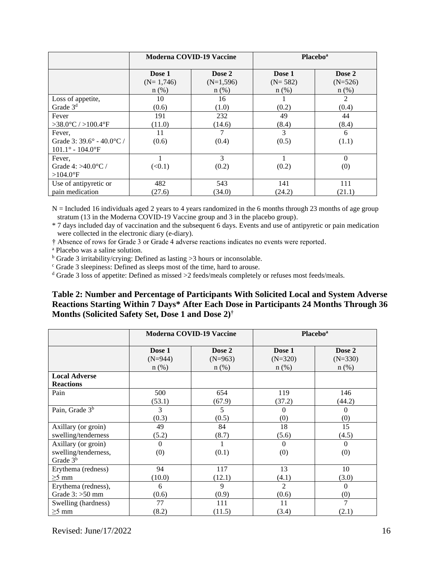|                                        | <b>Moderna COVID-19 Vaccine</b> |             |           | <b>Placebo</b> <sup>a</sup> |
|----------------------------------------|---------------------------------|-------------|-----------|-----------------------------|
|                                        | Dose 1                          | Dose 2      | Dose 1    | Dose 2                      |
|                                        | $(N=1,746)$                     | $(N=1,596)$ | $(N=582)$ | $(N=526)$                   |
|                                        | $n$ (%)                         | $n$ (%)     | $n$ (%)   | $n$ (%)                     |
| Loss of appetite,                      | 10                              | 16          |           | $\overline{2}$              |
| Grade 3 <sup>d</sup>                   | (0.6)                           | (1.0)       | (0.2)     | (0.4)                       |
| Fever                                  | 191                             | 232         | 49        | 44                          |
| $>38.0^{\circ}$ C / $>100.4^{\circ}$ F | (11.0)                          | (14.6)      | (8.4)     | (8.4)                       |
| Fever,                                 | 11                              | 7           | 3         | 6                           |
| Grade 3: $39.6^{\circ}$ - 40.0 °C /    | (0.6)                           | (0.4)       | (0.5)     | (1.1)                       |
| $101.1^{\circ} - 104.0^{\circ}F$       |                                 |             |           |                             |
| Fever.                                 |                                 | 3           |           | $\Omega$                    |
| Grade 4: $>40.0$ °C /                  | (<0.1)                          | (0.2)       | (0.2)     | (0)                         |
| $>104.0$ <sup>o</sup> F                |                                 |             |           |                             |
| Use of antipyretic or                  | 482                             | 543         | 141       | 111                         |
| pain medication                        | (27.6)                          | (34.0)      | (24.2)    | (21.1)                      |

N = Included 16 individuals aged 2 years to 4 years randomized in the 6 months through 23 months of age group stratum (13 in the Moderna COVID-19 Vaccine group and 3 in the placebo group).

\* 7 days included day of vaccination and the subsequent 6 days. Events and use of antipyretic or pain medication were collected in the electronic diary (e-diary).

† Absence of rows for Grade 3 or Grade 4 adverse reactions indicates no events were reported.

<sup>a</sup> Placebo was a saline solution.

 $<sup>b</sup>$  Grade 3 irritability/crying: Defined as lasting >3 hours or inconsolable.</sup>

<sup>c</sup> Grade 3 sleepiness: Defined as sleeps most of the time, hard to arouse.

<sup>d</sup> Grade 3 loss of appetite: Defined as missed >2 feeds/meals completely or refuses most feeds/meals.

### **Table 2: Number and Percentage of Participants With Solicited Local and System Adverse Reactions Starting Within 7 Days\* After Each Dose in Participants 24 Months Through 36 Months (Solicited Safety Set, Dose 1 and Dose 2)†**

|                                                                     | <b>Moderna COVID-19 Vaccine</b> |           |                 | <b>Placebo</b> <sup>a</sup> |
|---------------------------------------------------------------------|---------------------------------|-----------|-----------------|-----------------------------|
|                                                                     | Dose 1                          | Dose 2    | Dose 1          | Dose 2                      |
|                                                                     | $(N=944)$                       | $(N=963)$ | $(N=320)$       | $(N=330)$                   |
|                                                                     | $n$ (%)                         | $n$ (%)   | $n$ (%)         | $n$ (%)                     |
| <b>Local Adverse</b><br><b>Reactions</b>                            |                                 |           |                 |                             |
| Pain                                                                | 500                             | 654       | 119             | 146                         |
|                                                                     | (53.1)                          | (67.9)    | (37.2)          | (44.2)                      |
| Pain, Grade 3 <sup>b</sup>                                          | 3                               | 5         | 0               | $\Omega$                    |
|                                                                     | (0.3)                           | (0.5)     | (0)             | (0)                         |
| Axillary (or groin)                                                 | 49                              | 84        | 18              | 15                          |
| swelling/tenderness                                                 | (5.2)                           | (8.7)     | (5.6)           | (4.5)                       |
| Axillary (or groin)<br>swelling/tenderness,<br>Grade 3 <sup>b</sup> | $\Omega$<br>(0)                 | (0.1)     | $\Omega$<br>(0) | $\theta$<br>(0)             |
| Erythema (redness)                                                  | 94                              | 117       | 13              | 10                          |
| $\geq$ 5 mm                                                         | (10.0)                          | (12.1)    | (4.1)           | (3.0)                       |
| Erythema (redness),                                                 | 6                               | 9         | $\overline{c}$  | $\Omega$                    |
| Grade $3:$ >50 mm                                                   | (0.6)                           | (0.9)     | (0.6)           | (0)                         |
| Swelling (hardness)                                                 | 77                              | 111       | 11              | 7                           |
| $\geq$ 5 mm                                                         | (8.2)                           | (11.5)    | (3.4)           | (2.1)                       |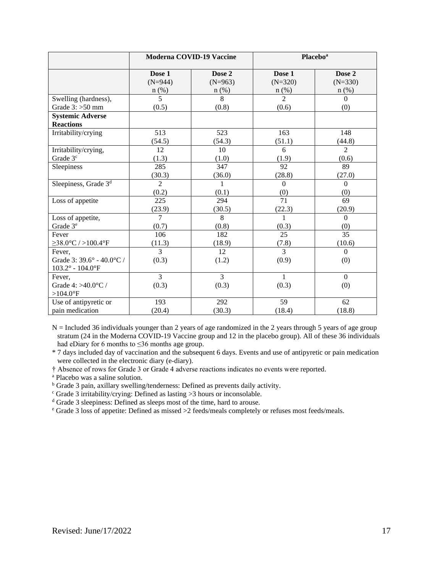|                                     | <b>Moderna COVID-19 Vaccine</b> |                      |                           | <b>Placebo</b> <sup>a</sup> |
|-------------------------------------|---------------------------------|----------------------|---------------------------|-----------------------------|
|                                     | Dose 1                          | Dose 2               | Dose 1                    | Dose 2                      |
|                                     | $(N=944)$                       | $(N=963)$<br>$n$ (%) | $(N=320)$                 | $(N=330)$                   |
| Swelling (hardness),                | $n$ (%)<br>5                    | 8                    | $n$ (%)<br>$\overline{2}$ | $n$ (%)<br>$\Omega$         |
| Grade $3:$ >50 mm                   | (0.5)                           | (0.8)                | (0.6)                     | (0)                         |
| <b>Systemic Adverse</b>             |                                 |                      |                           |                             |
| <b>Reactions</b>                    |                                 |                      |                           |                             |
| Irritability/crying                 | 513                             | 523                  | 163                       | 148                         |
|                                     | (54.5)                          | (54.3)               | (51.1)                    | (44.8)                      |
| Irritability/crying,                | 12                              | 10                   | 6                         | $\overline{2}$              |
| Grade 3 <sup>c</sup>                | (1.3)                           | (1.0)                | (1.9)                     | (0.6)                       |
| Sleepiness                          | 285                             | 347                  | 92                        | 89                          |
|                                     | (30.3)                          | (36.0)               | (28.8)                    | (27.0)                      |
| Sleepiness, Grade 3 <sup>d</sup>    | $\overline{2}$                  | 1                    | $\overline{0}$            | $\boldsymbol{0}$            |
|                                     | (0.2)                           | (0.1)                | (0)                       | (0)                         |
| Loss of appetite                    | 225                             | 294                  | 71                        | 69                          |
|                                     | (23.9)                          | (30.5)               | (22.3)                    | (20.9)                      |
| Loss of appetite,                   | $\overline{7}$                  | 8                    | $\mathbf{1}$              | $\Omega$                    |
| Grade 3 <sup>e</sup>                | (0.7)                           | (0.8)                | (0.3)                     | (0)                         |
| Fever                               | 106                             | 182                  | 25                        | 35                          |
| $\geq$ 38.0°C / >100.4°F            | (11.3)                          | (18.9)               | (7.8)                     | (10.6)                      |
| Fever,                              | $\overline{3}$                  | 12                   | $\overline{3}$            | $\mathbf{0}$                |
| Grade 3: 39.6° - 40.0°C /           | (0.3)                           | (1.2)                | (0.9)                     | (0)                         |
| $103.2^{\circ}$ - $104.0^{\circ}$ F |                                 |                      |                           |                             |
| Fever,                              | $\overline{3}$                  | $\overline{3}$       | 1                         | $\mathbf{0}$                |
| Grade 4: >40.0°C /                  | (0.3)                           | (0.3)                | (0.3)                     | (0)                         |
| $>104.0$ °F                         |                                 |                      |                           |                             |
| Use of antipyretic or               | 193                             | 292                  | 59                        | 62                          |
| pain medication                     | (20.4)                          | (30.3)               | (18.4)                    | (18.8)                      |

N = Included 36 individuals younger than 2 years of age randomized in the 2 years through 5 years of age group stratum (24 in the Moderna COVID-19 Vaccine group and 12 in the placebo group). All of these 36 individuals had eDiary for 6 months to ≤36 months age group.

\* 7 days included day of vaccination and the subsequent 6 days. Events and use of antipyretic or pain medication were collected in the electronic diary (e-diary).

† Absence of rows for Grade 3 or Grade 4 adverse reactions indicates no events were reported.

<sup>a</sup> Placebo was a saline solution.

<sup>b</sup> Grade 3 pain, axillary swelling/tenderness: Defined as prevents daily activity.

 $\degree$  Grade 3 irritability/crying: Defined as lasting >3 hours or inconsolable.

<sup>d</sup> Grade 3 sleepiness: Defined as sleeps most of the time, hard to arouse.

<sup>e</sup> Grade 3 loss of appetite: Defined as missed >2 feeds/meals completely or refuses most feeds/meals.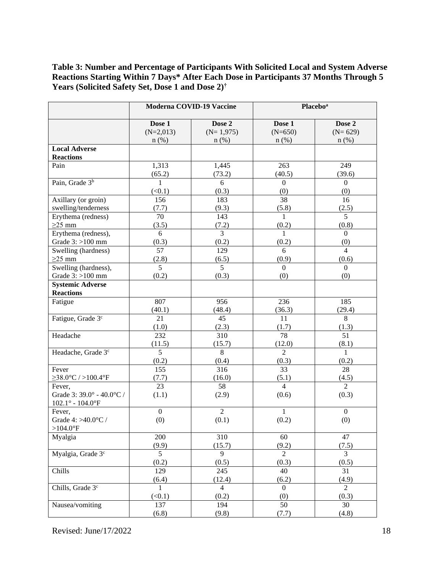**Table 3: Number and Percentage of Participants With Solicited Local and System Adverse Reactions Starting Within 7 Days\* After Each Dose in Participants 37 Months Through 5 Years (Solicited Safety Set, Dose 1 and Dose 2)†**

|                                                                | Moderna COVID-19 Vaccine |                           | <b>Placebo</b> <sup>a</sup> |                       |
|----------------------------------------------------------------|--------------------------|---------------------------|-----------------------------|-----------------------|
|                                                                | Dose 1                   | Dose 2                    | Dose 1                      | Dose 2                |
|                                                                | $(N=2,013)$<br>$n$ (%)   | $(N=1,975)$<br>$n$ $(\%)$ | $(N=650)$<br>$n$ (%)        | $(N=629)$<br>$n$ (%)  |
| <b>Local Adverse</b>                                           |                          |                           |                             |                       |
| <b>Reactions</b>                                               |                          |                           |                             |                       |
| Pain                                                           | 1,313                    | 1,445                     | 263                         | 249                   |
|                                                                | (65.2)                   | (73.2)                    | (40.5)                      | (39.6)                |
| Pain, Grade 3 <sup>b</sup>                                     | $\mathbf{1}$             | 6                         | $\boldsymbol{0}$            | $\overline{0}$        |
|                                                                | (<0.1)                   | (0.3)                     | (0)                         | (0)                   |
| Axillary (or groin)                                            | 156                      | 183                       | 38                          | 16                    |
| swelling/tenderness                                            | (7.7)                    | (9.3)                     | (5.8)                       | (2.5)                 |
| Erythema (redness)                                             | 70                       | 143                       | $\mathbf{1}$                | $\overline{5}$        |
| $\geq$ 25 mm                                                   | (3.5)                    | (7.2)                     | (0.2)                       | (0.8)                 |
| Erythema (redness),                                            | 6                        | $\overline{3}$            | $\mathbf{1}$                | $\boldsymbol{0}$      |
| Grade $3:$ >100 mm                                             | (0.3)<br>$\overline{57}$ | (0.2)<br>129              | (0.2)<br>6                  | (0)<br>$\overline{4}$ |
| Swelling (hardness)<br>$\geq$ 25 mm                            | (2.8)                    | (6.5)                     | (0.9)                       | (0.6)                 |
| Swelling (hardness),                                           | $\overline{5}$           | $\overline{5}$            | $\boldsymbol{0}$            | $\boldsymbol{0}$      |
| Grade $3:$ >100 mm                                             | (0.2)                    | (0.3)                     | (0)                         | (0)                   |
| <b>Systemic Adverse</b>                                        |                          |                           |                             |                       |
| <b>Reactions</b>                                               |                          |                           |                             |                       |
| Fatigue                                                        | 807                      | 956                       | 236                         | 185                   |
|                                                                | (40.1)                   | (48.4)                    | (36.3)                      | (29.4)                |
| Fatigue, Grade 3 <sup>c</sup>                                  | 21                       | 45                        | 11                          | $\overline{8}$        |
|                                                                | (1.0)                    | (2.3)                     | (1.7)                       | (1.3)                 |
| Headache                                                       | 232                      | 310                       | 78                          | 51                    |
|                                                                | (11.5)                   | (15.7)                    | (12.0)                      | (8.1)                 |
| Headache, Grade 3 <sup>c</sup>                                 | $\overline{5}$           | $\overline{8}$            | $\overline{2}$              | $\mathbf{1}$          |
|                                                                | (0.2)                    | (0.4)                     | (0.3)                       | (0.2)                 |
| Fever                                                          | 155                      | 316                       | 33                          | 28                    |
| $\geq$ 38.0°C / >100.4°F                                       | (7.7)                    | (16.0)                    | (5.1)                       | (4.5)                 |
| Fever,<br>Grade 3: $39.0^{\circ}$ - $40.0^{\circ}\textrm{C}$ / | 23                       | 58                        | $\overline{4}$              | $\overline{2}$        |
| $102.1^{\circ} - 104.0^{\circ}F$                               | (1.1)                    | (2.9)                     | (0.6)                       | (0.3)                 |
| Fever,                                                         | $\boldsymbol{0}$         | $\overline{2}$            | $\mathbf{1}$                | $\boldsymbol{0}$      |
| Grade 4: >40.0°C /                                             | (0)                      | (0.1)                     | (0.2)                       | (0)                   |
| $>104.0$ <sup>°</sup> F                                        |                          |                           |                             |                       |
| Myalgia                                                        | 200                      | 310                       | 60                          | 47                    |
|                                                                | (9.9)                    | (15.7)                    | (9.2)                       | (7.5)                 |
| Myalgia, Grade 3 <sup>c</sup>                                  | 5                        | 9                         | $\overline{2}$              | 3                     |
|                                                                | (0.2)                    | (0.5)                     | (0.3)                       | (0.5)                 |
| Chills                                                         | 129                      | 245                       | 40                          | 31                    |
|                                                                | (6.4)                    | (12.4)                    | (6.2)                       | (4.9)                 |
| Chills, Grade 3 <sup>c</sup>                                   | 1                        | $\overline{4}$            | $\Omega$                    | $\overline{2}$        |
|                                                                | (<0.1)                   | (0.2)                     | (0)                         | (0.3)                 |
| Nausea/vomiting                                                | 137                      | 194                       | 50                          | 30                    |
|                                                                | (6.8)                    | (9.8)                     | (7.7)                       | (4.8)                 |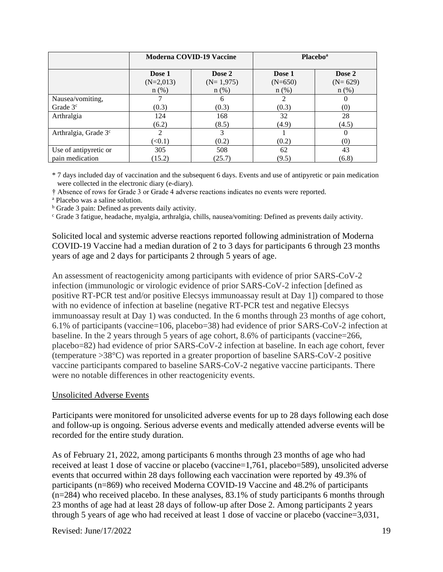|                                  | <b>Moderna COVID-19 Vaccine</b> |             | <b>Placebo</b> <sup>a</sup> |           |
|----------------------------------|---------------------------------|-------------|-----------------------------|-----------|
|                                  | Dose 1                          | Dose 2      | Dose 1                      | Dose 2    |
|                                  | $(N=2,013)$                     | $(N=1,975)$ | $(N=650)$                   | $(N=629)$ |
|                                  | $n$ (%)                         | $n$ (%)     | $n$ (%)                     | $n$ (%)   |
| Nausea/vomiting,                 |                                 | 6           | $\mathfrak{D}$              | $_{0}$    |
| Grade $3c$                       | (0.3)                           | (0.3)       | (0.3)                       | (0)       |
| Arthralgia                       | 124                             | 168         | 32                          | 28        |
|                                  | (6.2)                           | (8.5)       | (4.9)                       | (4.5)     |
| Arthralgia, Grade 3 <sup>c</sup> | ↑                               | 3           |                             | 0         |
|                                  | (<0.1)                          | (0.2)       | (0.2)                       | (0)       |
| Use of antipyretic or            | 305                             | 508         | 62                          | 43        |
| pain medication                  | (15.2)                          | (25.7)      | (9.5)                       | (6.8)     |

\* 7 days included day of vaccination and the subsequent 6 days. Events and use of antipyretic or pain medication were collected in the electronic diary (e-diary).

† Absence of rows for Grade 3 or Grade 4 adverse reactions indicates no events were reported.

<sup>a</sup> Placebo was a saline solution.

<sup>b</sup> Grade 3 pain: Defined as prevents daily activity.

<sup>c</sup> Grade 3 fatigue, headache, myalgia, arthralgia, chills, nausea/vomiting: Defined as prevents daily activity.

Solicited local and systemic adverse reactions reported following administration of Moderna COVID-19 Vaccine had a median duration of 2 to 3 days for participants 6 through 23 months years of age and 2 days for participants 2 through 5 years of age.

An assessment of reactogenicity among participants with evidence of prior SARS-CoV-2 infection (immunologic or virologic evidence of prior SARS-CoV-2 infection [defined as positive RT-PCR test and/or positive Elecsys immunoassay result at Day 1]) compared to those with no evidence of infection at baseline (negative RT-PCR test and negative Elecsys immunoassay result at Day 1) was conducted. In the 6 months through 23 months of age cohort, 6.1% of participants (vaccine=106, placebo=38) had evidence of prior SARS-CoV-2 infection at baseline. In the 2 years through 5 years of age cohort, 8.6% of participants (vaccine=266, placebo=82) had evidence of prior SARS-CoV-2 infection at baseline. In each age cohort, fever (temperature >38°C) was reported in a greater proportion of baseline SARS-CoV-2 positive vaccine participants compared to baseline SARS-CoV-2 negative vaccine participants. There were no notable differences in other reactogenicity events.

#### Unsolicited Adverse Events

Participants were monitored for unsolicited adverse events for up to 28 days following each dose and follow-up is ongoing. Serious adverse events and medically attended adverse events will be recorded for the entire study duration.

As of February 21, 2022, among participants 6 months through 23 months of age who had received at least 1 dose of vaccine or placebo (vaccine=1,761, placebo=589), unsolicited adverse events that occurred within 28 days following each vaccination were reported by 49.3% of participants (n=869) who received Moderna COVID-19 Vaccine and 48.2% of participants (n=284) who received placebo. In these analyses, 83.1% of study participants 6 months through 23 months of age had at least 28 days of follow-up after Dose 2. Among participants 2 years through 5 years of age who had received at least 1 dose of vaccine or placebo (vaccine=3,031,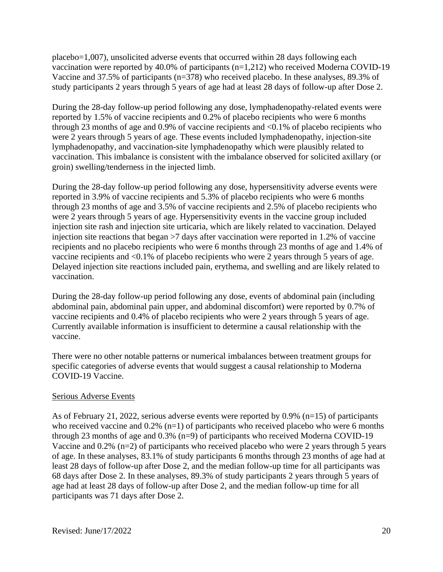placebo=1,007), unsolicited adverse events that occurred within 28 days following each vaccination were reported by 40.0% of participants (n=1,212) who received Moderna COVID-19 Vaccine and 37.5% of participants (n=378) who received placebo. In these analyses, 89.3% of study participants 2 years through 5 years of age had at least 28 days of follow-up after Dose 2.

During the 28-day follow-up period following any dose, lymphadenopathy-related events were reported by 1.5% of vaccine recipients and 0.2% of placebo recipients who were 6 months through 23 months of age and 0.9% of vaccine recipients and  $\langle 0.1\%$  of placebo recipients who were 2 years through 5 years of age. These events included lymphadenopathy, injection-site lymphadenopathy, and vaccination-site lymphadenopathy which were plausibly related to vaccination. This imbalance is consistent with the imbalance observed for solicited axillary (or groin) swelling/tenderness in the injected limb.

During the 28-day follow-up period following any dose, hypersensitivity adverse events were reported in 3.9% of vaccine recipients and 5.3% of placebo recipients who were 6 months through 23 months of age and 3.5% of vaccine recipients and 2.5% of placebo recipients who were 2 years through 5 years of age. Hypersensitivity events in the vaccine group included injection site rash and injection site urticaria, which are likely related to vaccination. Delayed injection site reactions that began >7 days after vaccination were reported in 1.2% of vaccine recipients and no placebo recipients who were 6 months through 23 months of age and 1.4% of vaccine recipients and <0.1% of placebo recipients who were 2 years through 5 years of age. Delayed injection site reactions included pain, erythema, and swelling and are likely related to vaccination.

During the 28-day follow-up period following any dose, events of abdominal pain (including abdominal pain, abdominal pain upper, and abdominal discomfort) were reported by 0.7% of vaccine recipients and 0.4% of placebo recipients who were 2 years through 5 years of age. Currently available information is insufficient to determine a causal relationship with the vaccine.

There were no other notable patterns or numerical imbalances between treatment groups for specific categories of adverse events that would suggest a causal relationship to Moderna COVID-19 Vaccine.

## Serious Adverse Events

As of February 21, 2022, serious adverse events were reported by 0.9% (n=15) of participants who received vaccine and  $0.2\%$  (n=1) of participants who received placebo who were 6 months through 23 months of age and 0.3% (n=9) of participants who received Moderna COVID-19 Vaccine and 0.2% (n=2) of participants who received placebo who were 2 years through 5 years of age. In these analyses, 83.1% of study participants 6 months through 23 months of age had at least 28 days of follow-up after Dose 2, and the median follow-up time for all participants was 68 days after Dose 2. In these analyses, 89.3% of study participants 2 years through 5 years of age had at least 28 days of follow-up after Dose 2, and the median follow-up time for all participants was 71 days after Dose 2.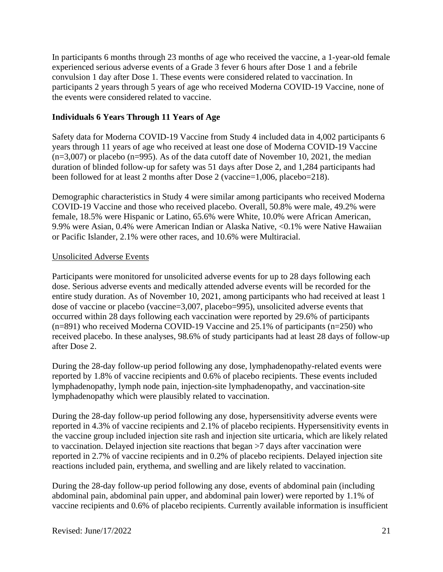In participants 6 months through 23 months of age who received the vaccine, a 1-year-old female experienced serious adverse events of a Grade 3 fever 6 hours after Dose 1 and a febrile convulsion 1 day after Dose 1. These events were considered related to vaccination. In participants 2 years through 5 years of age who received Moderna COVID-19 Vaccine, none of the events were considered related to vaccine.

## **Individuals 6 Years Through 11 Years of Age**

Safety data for Moderna COVID-19 Vaccine from Study 4 included data in 4,002 participants 6 years through 11 years of age who received at least one dose of Moderna COVID-19 Vaccine  $(n=3,007)$  or placebo  $(n=995)$ . As of the data cutoff date of November 10, 2021, the median duration of blinded follow-up for safety was 51 days after Dose 2, and 1,284 participants had been followed for at least 2 months after Dose 2 (vaccine=1,006, placebo=218).

Demographic characteristics in Study 4 were similar among participants who received Moderna COVID-19 Vaccine and those who received placebo. Overall, 50.8% were male, 49.2% were female, 18.5% were Hispanic or Latino, 65.6% were White, 10.0% were African American, 9.9% were Asian, 0.4% were American Indian or Alaska Native, <0.1% were Native Hawaiian or Pacific Islander, 2.1% were other races, and 10.6% were Multiracial.

### Unsolicited Adverse Events

Participants were monitored for unsolicited adverse events for up to 28 days following each dose. Serious adverse events and medically attended adverse events will be recorded for the entire study duration. As of November 10, 2021, among participants who had received at least 1 dose of vaccine or placebo (vaccine=3,007, placebo=995), unsolicited adverse events that occurred within 28 days following each vaccination were reported by 29.6% of participants (n=891) who received Moderna COVID-19 Vaccine and 25.1% of participants (n=250) who received placebo. In these analyses, 98.6% of study participants had at least 28 days of follow-up after Dose 2.

During the 28-day follow-up period following any dose, lymphadenopathy-related events were reported by 1.8% of vaccine recipients and 0.6% of placebo recipients. These events included lymphadenopathy, lymph node pain, injection-site lymphadenopathy, and vaccination-site lymphadenopathy which were plausibly related to vaccination.

During the 28-day follow-up period following any dose, hypersensitivity adverse events were reported in 4.3% of vaccine recipients and 2.1% of placebo recipients. Hypersensitivity events in the vaccine group included injection site rash and injection site urticaria, which are likely related to vaccination. Delayed injection site reactions that began >7 days after vaccination were reported in 2.7% of vaccine recipients and in 0.2% of placebo recipients. Delayed injection site reactions included pain, erythema, and swelling and are likely related to vaccination.

During the 28-day follow-up period following any dose, events of abdominal pain (including abdominal pain, abdominal pain upper, and abdominal pain lower) were reported by 1.1% of vaccine recipients and 0.6% of placebo recipients. Currently available information is insufficient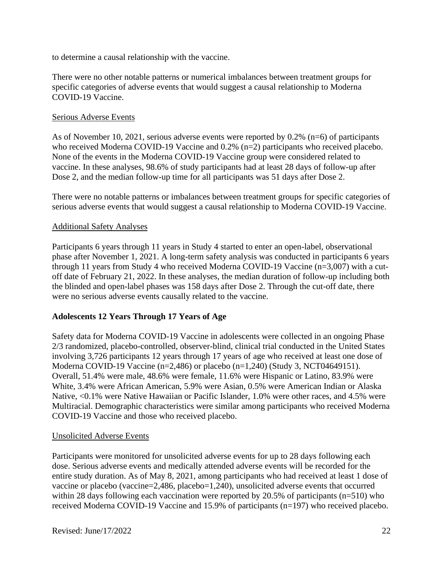to determine a causal relationship with the vaccine.

There were no other notable patterns or numerical imbalances between treatment groups for specific categories of adverse events that would suggest a causal relationship to Moderna COVID-19 Vaccine.

#### Serious Adverse Events

As of November 10, 2021, serious adverse events were reported by 0.2% (n=6) of participants who received Moderna COVID-19 Vaccine and 0.2% (n=2) participants who received placebo. None of the events in the Moderna COVID-19 Vaccine group were considered related to vaccine. In these analyses, 98.6% of study participants had at least 28 days of follow-up after Dose 2, and the median follow-up time for all participants was 51 days after Dose 2.

There were no notable patterns or imbalances between treatment groups for specific categories of serious adverse events that would suggest a causal relationship to Moderna COVID-19 Vaccine.

#### Additional Safety Analyses

Participants 6 years through 11 years in Study 4 started to enter an open-label, observational phase after November 1, 2021. A long-term safety analysis was conducted in participants 6 years through 11 years from Study 4 who received Moderna COVID-19 Vaccine (n=3,007) with a cutoff date of February 21, 2022. In these analyses, the median duration of follow-up including both the blinded and open-label phases was 158 days after Dose 2. Through the cut-off date, there were no serious adverse events causally related to the vaccine.

#### **Adolescents 12 Years Through 17 Years of Age**

Safety data for Moderna COVID-19 Vaccine in adolescents were collected in an ongoing Phase 2/3 randomized, placebo-controlled, observer-blind, clinical trial conducted in the United States involving 3,726 participants 12 years through 17 years of age who received at least one dose of Moderna COVID-19 Vaccine (n=2,486) or placebo (n=1,240) (Study 3, NCT04649151). Overall, 51.4% were male, 48.6% were female, 11.6% were Hispanic or Latino, 83.9% were White, 3.4% were African American, 5.9% were Asian, 0.5% were American Indian or Alaska Native, <0.1% were Native Hawaiian or Pacific Islander, 1.0% were other races, and 4.5% were Multiracial. Demographic characteristics were similar among participants who received Moderna COVID-19 Vaccine and those who received placebo.

#### Unsolicited Adverse Events

Participants were monitored for unsolicited adverse events for up to 28 days following each dose. Serious adverse events and medically attended adverse events will be recorded for the entire study duration. As of May 8, 2021, among participants who had received at least 1 dose of vaccine or placebo (vaccine=2,486, placebo=1,240), unsolicited adverse events that occurred within 28 days following each vaccination were reported by 20.5% of participants (n=510) who received Moderna COVID-19 Vaccine and 15.9% of participants (n=197) who received placebo.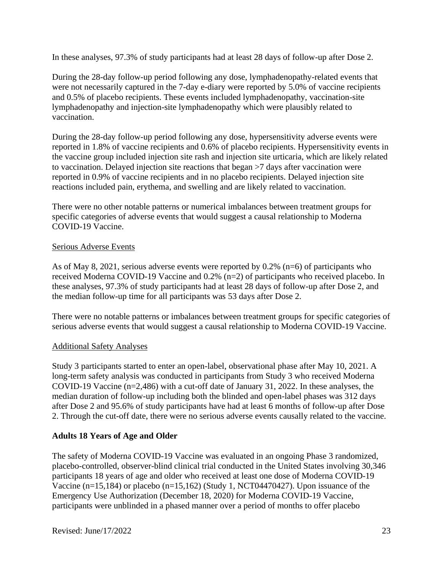In these analyses, 97.3% of study participants had at least 28 days of follow-up after Dose 2.

During the 28-day follow-up period following any dose, lymphadenopathy-related events that were not necessarily captured in the 7-day e-diary were reported by 5.0% of vaccine recipients and 0.5% of placebo recipients. These events included lymphadenopathy, vaccination-site lymphadenopathy and injection-site lymphadenopathy which were plausibly related to vaccination.

During the 28-day follow-up period following any dose, hypersensitivity adverse events were reported in 1.8% of vaccine recipients and 0.6% of placebo recipients. Hypersensitivity events in the vaccine group included injection site rash and injection site urticaria, which are likely related to vaccination. Delayed injection site reactions that began >7 days after vaccination were reported in 0.9% of vaccine recipients and in no placebo recipients. Delayed injection site reactions included pain, erythema, and swelling and are likely related to vaccination.

There were no other notable patterns or numerical imbalances between treatment groups for specific categories of adverse events that would suggest a causal relationship to Moderna COVID-19 Vaccine.

#### Serious Adverse Events

As of May 8, 2021, serious adverse events were reported by  $0.2\%$  (n=6) of participants who received Moderna COVID-19 Vaccine and 0.2% (n=2) of participants who received placebo. In these analyses, 97.3% of study participants had at least 28 days of follow-up after Dose 2, and the median follow-up time for all participants was 53 days after Dose 2.

There were no notable patterns or imbalances between treatment groups for specific categories of serious adverse events that would suggest a causal relationship to Moderna COVID-19 Vaccine.

## Additional Safety Analyses

Study 3 participants started to enter an open-label, observational phase after May 10, 2021. A long-term safety analysis was conducted in participants from Study 3 who received Moderna COVID-19 Vaccine (n=2,486) with a cut-off date of January 31, 2022. In these analyses, the median duration of follow-up including both the blinded and open-label phases was 312 days after Dose 2 and 95.6% of study participants have had at least 6 months of follow-up after Dose 2. Through the cut-off date, there were no serious adverse events causally related to the vaccine.

## **Adults 18 Years of Age and Older**

The safety of Moderna COVID-19 Vaccine was evaluated in an ongoing Phase 3 randomized, placebo-controlled, observer-blind clinical trial conducted in the United States involving 30,346 participants 18 years of age and older who received at least one dose of Moderna COVID-19 Vaccine (n=15,184) or placebo (n=15,162) (Study 1, NCT04470427). Upon issuance of the Emergency Use Authorization (December 18, 2020) for Moderna COVID-19 Vaccine, participants were unblinded in a phased manner over a period of months to offer placebo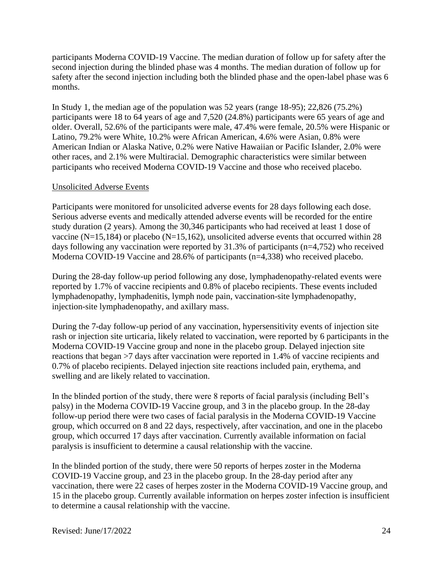participants Moderna COVID-19 Vaccine. The median duration of follow up for safety after the second injection during the blinded phase was 4 months. The median duration of follow up for safety after the second injection including both the blinded phase and the open-label phase was 6 months.

In Study 1, the median age of the population was 52 years (range 18-95); 22,826 (75.2%) participants were 18 to 64 years of age and 7,520 (24.8%) participants were 65 years of age and older. Overall, 52.6% of the participants were male, 47.4% were female, 20.5% were Hispanic or Latino, 79.2% were White, 10.2% were African American, 4.6% were Asian, 0.8% were American Indian or Alaska Native, 0.2% were Native Hawaiian or Pacific Islander, 2.0% were other races, and 2.1% were Multiracial. Demographic characteristics were similar between participants who received Moderna COVID-19 Vaccine and those who received placebo.

### Unsolicited Adverse Events

Participants were monitored for unsolicited adverse events for 28 days following each dose. Serious adverse events and medically attended adverse events will be recorded for the entire study duration (2 years). Among the 30,346 participants who had received at least 1 dose of vaccine (N=15,184) or placebo (N=15,162), unsolicited adverse events that occurred within 28 days following any vaccination were reported by 31.3% of participants (n=4,752) who received Moderna COVID-19 Vaccine and 28.6% of participants (n=4,338) who received placebo.

During the 28-day follow-up period following any dose, lymphadenopathy-related events were reported by 1.7% of vaccine recipients and 0.8% of placebo recipients. These events included lymphadenopathy, lymphadenitis, lymph node pain, vaccination-site lymphadenopathy, injection-site lymphadenopathy, and axillary mass.

During the 7-day follow-up period of any vaccination, hypersensitivity events of injection site rash or injection site urticaria, likely related to vaccination, were reported by 6 participants in the Moderna COVID-19 Vaccine group and none in the placebo group. Delayed injection site reactions that began >7 days after vaccination were reported in 1.4% of vaccine recipients and 0.7% of placebo recipients. Delayed injection site reactions included pain, erythema, and swelling and are likely related to vaccination.

In the blinded portion of the study, there were 8 reports of facial paralysis (including Bell's palsy) in the Moderna COVID-19 Vaccine group, and 3 in the placebo group. In the 28-day follow-up period there were two cases of facial paralysis in the Moderna COVID-19 Vaccine group, which occurred on 8 and 22 days, respectively, after vaccination, and one in the placebo group, which occurred 17 days after vaccination. Currently available information on facial paralysis is insufficient to determine a causal relationship with the vaccine.

In the blinded portion of the study, there were 50 reports of herpes zoster in the Moderna COVID-19 Vaccine group, and 23 in the placebo group. In the 28-day period after any vaccination, there were 22 cases of herpes zoster in the Moderna COVID-19 Vaccine group, and 15 in the placebo group. Currently available information on herpes zoster infection is insufficient to determine a causal relationship with the vaccine.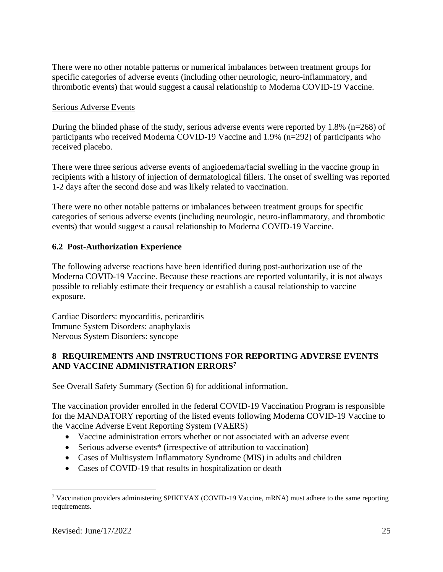There were no other notable patterns or numerical imbalances between treatment groups for specific categories of adverse events (including other neurologic, neuro-inflammatory, and thrombotic events) that would suggest a causal relationship to Moderna COVID-19 Vaccine.

#### Serious Adverse Events

During the blinded phase of the study, serious adverse events were reported by 1.8% (n=268) of participants who received Moderna COVID-19 Vaccine and 1.9% (n=292) of participants who received placebo.

There were three serious adverse events of angioedema/facial swelling in the vaccine group in recipients with a history of injection of dermatological fillers. The onset of swelling was reported 1-2 days after the second dose and was likely related to vaccination.

There were no other notable patterns or imbalances between treatment groups for specific categories of serious adverse events (including neurologic, neuro-inflammatory, and thrombotic events) that would suggest a causal relationship to Moderna COVID-19 Vaccine.

## **6.2 Post-Authorization Experience**

The following adverse reactions have been identified during post-authorization use of the Moderna COVID-19 Vaccine. Because these reactions are reported voluntarily, it is not always possible to reliably estimate their frequency or establish a causal relationship to vaccine exposure.

Cardiac Disorders: myocarditis, pericarditis Immune System Disorders: anaphylaxis Nervous System Disorders: syncope

## **8 REQUIREMENTS AND INSTRUCTIONS FOR REPORTING ADVERSE EVENTS AND VACCINE ADMINISTRATION ERRORS<sup>7</sup>**

See Overall Safety Summary (Section 6) for additional information.

The vaccination provider enrolled in the federal COVID-19 Vaccination Program is responsible for the MANDATORY reporting of the listed events following Moderna COVID-19 Vaccine to the Vaccine Adverse Event Reporting System (VAERS)

- Vaccine administration errors whether or not associated with an adverse event
- Serious adverse events<sup>\*</sup> (irrespective of attribution to vaccination)
- Cases of Multisystem Inflammatory Syndrome (MIS) in adults and children
- Cases of COVID-19 that results in hospitalization or death

<sup>7</sup> Vaccination providers administering SPIKEVAX (COVID-19 Vaccine, mRNA) must adhere to the same reporting requirements.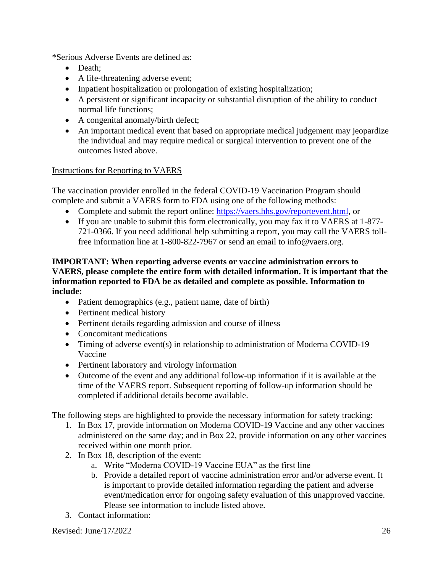\*Serious Adverse Events are defined as:

- Death;
- A life-threatening adverse event;
- Inpatient hospitalization or prolongation of existing hospitalization;
- A persistent or significant incapacity or substantial disruption of the ability to conduct normal life functions;
- A congenital anomaly/birth defect;
- An important medical event that based on appropriate medical judgement may jeopardize the individual and may require medical or surgical intervention to prevent one of the outcomes listed above.

# Instructions for Reporting to VAERS

The vaccination provider enrolled in the federal COVID-19 Vaccination Program should complete and submit a VAERS form to FDA using one of the following methods:

- Complete and submit the report online: https://vaers.hhs.gov/reportevent.html, or
- If you are unable to submit this form electronically, you may fax it to VAERS at 1-877- 721-0366. If you need additional help submitting a report, you may call the VAERS tollfree information line at 1-800-822-7967 or send an email to info@vaers.org.

### **IMPORTANT: When reporting adverse events or vaccine administration errors to VAERS, please complete the entire form with detailed information. It is important that the information reported to FDA be as detailed and complete as possible. Information to include:**

- Patient demographics (e.g., patient name, date of birth)
- Pertinent medical history
- Pertinent details regarding admission and course of illness
- Concomitant medications
- Timing of adverse event(s) in relationship to administration of Moderna COVID-19 Vaccine
- Pertinent laboratory and virology information
- Outcome of the event and any additional follow-up information if it is available at the time of the VAERS report. Subsequent reporting of follow-up information should be completed if additional details become available.

The following steps are highlighted to provide the necessary information for safety tracking:

- 1. In Box 17, provide information on Moderna COVID-19 Vaccine and any other vaccines administered on the same day; and in Box 22, provide information on any other vaccines received within one month prior.
- 2. In Box 18, description of the event:
	- a. Write "Moderna COVID-19 Vaccine EUA" as the first line
	- b. Provide a detailed report of vaccine administration error and/or adverse event. It is important to provide detailed information regarding the patient and adverse event/medication error for ongoing safety evaluation of this unapproved vaccine. Please see information to include listed above.
- 3. Contact information:

Revised:  $\text{June}/17/2022$  26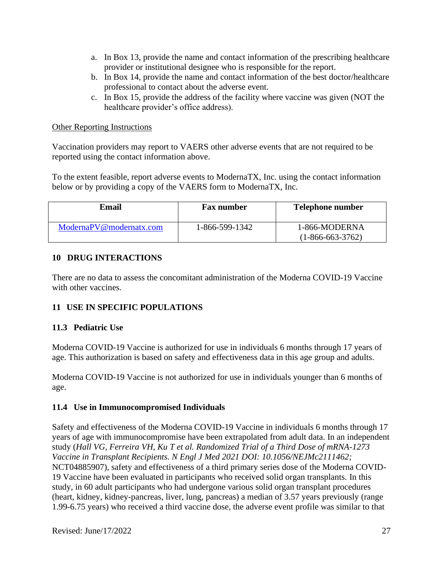- a. In Box 13, provide the name and contact information of the prescribing healthcare provider or institutional designee who is responsible for the report.
- b. In Box 14, provide the name and contact information of the best doctor/healthcare professional to contact about the adverse event.
- c. In Box 15, provide the address of the facility where vaccine was given (NOT the healthcare provider's office address).

### Other Reporting Instructions

Vaccination providers may report to VAERS other adverse events that are not required to be reported using the contact information above.

To the extent feasible, report adverse events to ModernaTX, Inc. using the contact information below or by providing a copy of the VAERS form to ModernaTX, Inc.

| Email                   | <b>Fax number</b> | <b>Telephone number</b>             |
|-------------------------|-------------------|-------------------------------------|
| ModernaPV@modernatx.com | 1-866-599-1342    | 1-866-MODERNA<br>$(1-866-663-3762)$ |

## **10 DRUG INTERACTIONS**

There are no data to assess the concomitant administration of the Moderna COVID-19 Vaccine with other vaccines.

## **11 USE IN SPECIFIC POPULATIONS**

## **11.3 Pediatric Use**

Moderna COVID-19 Vaccine is authorized for use in individuals 6 months through 17 years of age. This authorization is based on safety and effectiveness data in this age group and adults.

Moderna COVID-19 Vaccine is not authorized for use in individuals younger than 6 months of age.

## **11.4 Use in Immunocompromised Individuals**

Safety and effectiveness of the Moderna COVID-19 Vaccine in individuals 6 months through 17 years of age with immunocompromise have been extrapolated from adult data. In an independent study (*Hall VG, Ferreira VH, Ku T et al. Randomized Trial of a Third Dose of mRNA-1273 Vaccine in Transplant Recipients. N Engl J Med 2021 DOI: 10.1056/NEJMc2111462;*  NCT04885907), safety and effectiveness of a third primary series dose of the Moderna COVID-19 Vaccine have been evaluated in participants who received solid organ transplants. In this study, in 60 adult participants who had undergone various solid organ transplant procedures (heart, kidney, kidney-pancreas, liver, lung, pancreas) a median of 3.57 years previously (range 1.99-6.75 years) who received a third vaccine dose, the adverse event profile was similar to that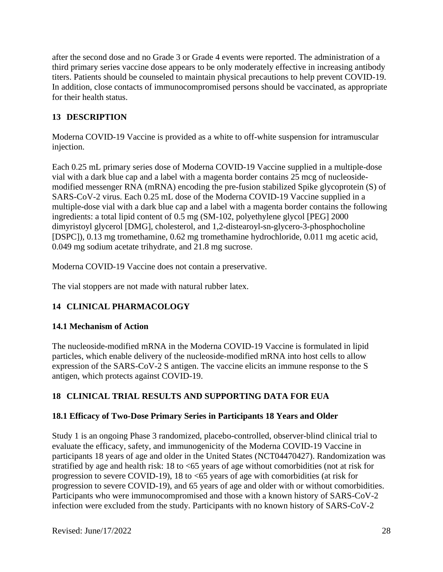after the second dose and no Grade 3 or Grade 4 events were reported. The administration of a third primary series vaccine dose appears to be only moderately effective in increasing antibody titers. Patients should be counseled to maintain physical precautions to help prevent COVID-19. In addition, close contacts of immunocompromised persons should be vaccinated, as appropriate for their health status.

# **13 DESCRIPTION**

Moderna COVID-19 Vaccine is provided as a white to off-white suspension for intramuscular injection.

Each 0.25 mL primary series dose of Moderna COVID-19 Vaccine supplied in a multiple-dose vial with a dark blue cap and a label with a magenta border contains 25 mcg of nucleosidemodified messenger RNA (mRNA) encoding the pre-fusion stabilized Spike glycoprotein (S) of SARS-CoV-2 virus. Each 0.25 mL dose of the Moderna COVID-19 Vaccine supplied in a multiple-dose vial with a dark blue cap and a label with a magenta border contains the following ingredients: a total lipid content of 0.5 mg (SM-102, polyethylene glycol [PEG] 2000 dimyristoyl glycerol [DMG], cholesterol, and 1,2-distearoyl-sn-glycero-3-phosphocholine [DSPC]), 0.13 mg tromethamine, 0.62 mg tromethamine hydrochloride, 0.011 mg acetic acid, 0.049 mg sodium acetate trihydrate, and 21.8 mg sucrose.

Moderna COVID-19 Vaccine does not contain a preservative.

The vial stoppers are not made with natural rubber latex.

# **14 CLINICAL PHARMACOLOGY**

# **14.1 Mechanism of Action**

The nucleoside-modified mRNA in the Moderna COVID-19 Vaccine is formulated in lipid particles, which enable delivery of the nucleoside-modified mRNA into host cells to allow expression of the SARS-CoV-2 S antigen. The vaccine elicits an immune response to the S antigen, which protects against COVID-19.

# **18 CLINICAL TRIAL RESULTS AND SUPPORTING DATA FOR EUA**

# **18.1 Efficacy of Two-Dose Primary Series in Participants 18 Years and Older**

Study 1 is an ongoing Phase 3 randomized, placebo-controlled, observer-blind clinical trial to evaluate the efficacy, safety, and immunogenicity of the Moderna COVID-19 Vaccine in participants 18 years of age and older in the United States (NCT04470427). Randomization was stratified by age and health risk: 18 to <65 years of age without comorbidities (not at risk for progression to severe COVID-19), 18 to <65 years of age with comorbidities (at risk for progression to severe COVID-19), and 65 years of age and older with or without comorbidities. Participants who were immunocompromised and those with a known history of SARS-CoV-2 infection were excluded from the study. Participants with no known history of SARS-CoV-2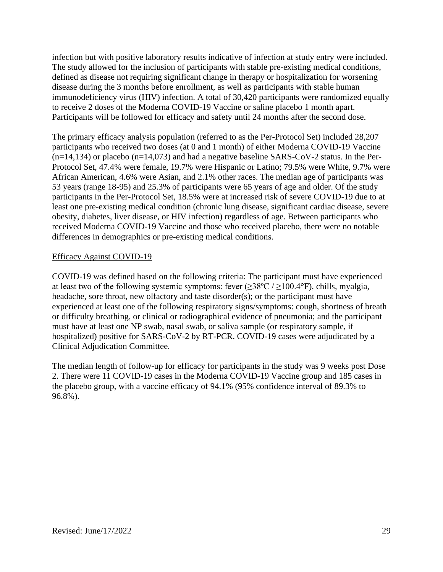infection but with positive laboratory results indicative of infection at study entry were included. The study allowed for the inclusion of participants with stable pre-existing medical conditions, defined as disease not requiring significant change in therapy or hospitalization for worsening disease during the 3 months before enrollment, as well as participants with stable human immunodeficiency virus (HIV) infection. A total of 30,420 participants were randomized equally to receive 2 doses of the Moderna COVID-19 Vaccine or saline placebo 1 month apart. Participants will be followed for efficacy and safety until 24 months after the second dose.

The primary efficacy analysis population (referred to as the Per-Protocol Set) included 28,207 participants who received two doses (at 0 and 1 month) of either Moderna COVID-19 Vaccine  $(n=14,134)$  or placebo  $(n=14,073)$  and had a negative baseline SARS-CoV-2 status. In the Per-Protocol Set, 47.4% were female, 19.7% were Hispanic or Latino; 79.5% were White, 9.7% were African American, 4.6% were Asian, and 2.1% other races. The median age of participants was 53 years (range 18-95) and 25.3% of participants were 65 years of age and older. Of the study participants in the Per-Protocol Set, 18.5% were at increased risk of severe COVID-19 due to at least one pre-existing medical condition (chronic lung disease, significant cardiac disease, severe obesity, diabetes, liver disease, or HIV infection) regardless of age. Between participants who received Moderna COVID-19 Vaccine and those who received placebo, there were no notable differences in demographics or pre-existing medical conditions.

### Efficacy Against COVID-19

COVID-19 was defined based on the following criteria: The participant must have experienced at least two of the following systemic symptoms: fever  $(\geq 38^{\circ}\text{C} / \geq 100.4^{\circ}\text{F})$ , chills, myalgia, headache, sore throat, new olfactory and taste disorder(s); or the participant must have experienced at least one of the following respiratory signs/symptoms: cough, shortness of breath or difficulty breathing, or clinical or radiographical evidence of pneumonia; and the participant must have at least one NP swab, nasal swab, or saliva sample (or respiratory sample, if hospitalized) positive for SARS-CoV-2 by RT-PCR. COVID-19 cases were adjudicated by a Clinical Adjudication Committee.

The median length of follow-up for efficacy for participants in the study was 9 weeks post Dose 2. There were 11 COVID-19 cases in the Moderna COVID-19 Vaccine group and 185 cases in the placebo group, with a vaccine efficacy of 94.1% (95% confidence interval of 89.3% to 96.8%).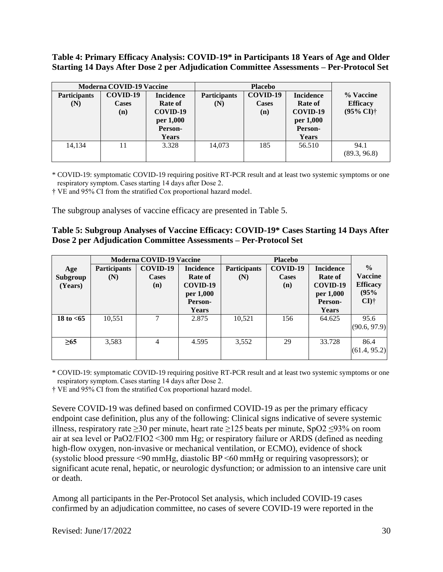**Table 4: Primary Efficacy Analysis: COVID-19\* in Participants 18 Years of Age and Older Starting 14 Days After Dose 2 per Adjudication Committee Assessments – Per-Protocol Set**

| <b>Moderna COVID-19 Vaccine</b> |              |                  | <b>Placebo</b>      |              |                  |                            |
|---------------------------------|--------------|------------------|---------------------|--------------|------------------|----------------------------|
| <b>Participants</b>             | COVID-19     | <b>Incidence</b> | <b>Participants</b> | COVID-19     | <b>Incidence</b> | % Vaccine                  |
| (N)                             | <b>Cases</b> | <b>Rate of</b>   | (N)                 | <b>Cases</b> | Rate of          | <b>Efficacy</b>            |
|                                 | (n)          | COVID-19         |                     | (n)          | COVID-19         | $(95\% \text{ CI})\dagger$ |
|                                 |              | per 1,000        |                     |              | per 1,000        |                            |
|                                 |              | Person-          |                     |              | Person-          |                            |
|                                 |              | <b>Years</b>     |                     |              | Years            |                            |
| 14,134                          |              | 3.328            | 14.073              | 185          | 56.510           | 94.1<br>(89.3, 96.8)       |
|                                 |              |                  |                     |              |                  |                            |

\* COVID-19: symptomatic COVID-19 requiring positive RT-PCR result and at least two systemic symptoms or one respiratory symptom. Cases starting 14 days after Dose 2. 

† VE and 95% CI from the stratified Cox proportional hazard model.

The subgroup analyses of vaccine efficacy are presented in Table 5.

| Table 5: Subgroup Analyses of Vaccine Efficacy: COVID-19* Cases Starting 14 Days After |
|----------------------------------------------------------------------------------------|
| Dose 2 per Adjudication Committee Assessments – Per-Protocol Set                       |

|                            | <b>Moderna COVID-19 Vaccine</b> |                                 |                                                                                 |                            |                                 |                                                                                        |                                                                       |
|----------------------------|---------------------------------|---------------------------------|---------------------------------------------------------------------------------|----------------------------|---------------------------------|----------------------------------------------------------------------------------------|-----------------------------------------------------------------------|
| Age<br>Subgroup<br>(Years) | <b>Participants</b><br>(N)      | COVID-19<br><b>Cases</b><br>(n) | <b>Incidence</b><br>Rate of<br>COVID-19<br>per 1,000<br>Person-<br><b>Years</b> | <b>Participants</b><br>(N) | COVID-19<br><b>Cases</b><br>(n) | <b>Incidence</b><br><b>Rate of</b><br>COVID-19<br>per 1,000<br>Person-<br><b>Years</b> | $\frac{0}{0}$<br><b>Vaccine</b><br><b>Efficacy</b><br>(95%<br>$CI$ )† |
| 18 to $< 65$               | 10,551                          |                                 | 2.875                                                                           | 10,521                     | 156                             | 64.625                                                                                 | 95.6<br>(90.6, 97.9)                                                  |
| $\geq 65$                  | 3,583                           | 4                               | 4.595                                                                           | 3,552                      | 29                              | 33.728                                                                                 | 86.4<br>(61.4, 95.2)                                                  |

\* COVID-19: symptomatic COVID-19 requiring positive RT-PCR result and at least two systemic symptoms or one respiratory symptom. Cases starting 14 days after Dose 2.

† VE and 95% CI from the stratified Cox proportional hazard model.

Severe COVID-19 was defined based on confirmed COVID-19 as per the primary efficacy endpoint case definition, plus any of the following: Clinical signs indicative of severe systemic illness, respiratory rate ≥30 per minute, heart rate ≥125 beats per minute, SpO2 ≤93% on room air at sea level or PaO2/FIO2 <300 mm Hg; or respiratory failure or ARDS (defined as needing high-flow oxygen, non-invasive or mechanical ventilation, or ECMO), evidence of shock (systolic blood pressure <90 mmHg, diastolic BP <60 mmHg or requiring vasopressors); or significant acute renal, hepatic, or neurologic dysfunction; or admission to an intensive care unit or death.

Among all participants in the Per-Protocol Set analysis, which included COVID-19 cases confirmed by an adjudication committee, no cases of severe COVID-19 were reported in the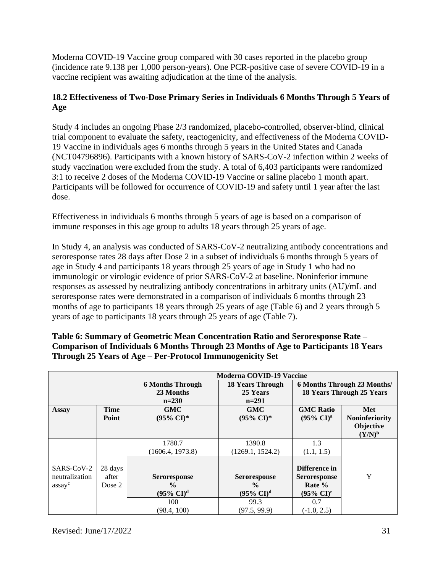Moderna COVID-19 Vaccine group compared with 30 cases reported in the placebo group (incidence rate 9.138 per 1,000 person-years). One PCR-positive case of severe COVID-19 in a vaccine recipient was awaiting adjudication at the time of the analysis.

# **18.2 Effectiveness of Two-Dose Primary Series in Individuals 6 Months Through 5 Years of Age**

Study 4 includes an ongoing Phase 2/3 randomized, placebo-controlled, observer-blind, clinical trial component to evaluate the safety, reactogenicity, and effectiveness of the Moderna COVID-19 Vaccine in individuals ages 6 months through 5 years in the United States and Canada (NCT04796896). Participants with a known history of SARS-CoV-2 infection within 2 weeks of study vaccination were excluded from the study. A total of 6,403 participants were randomized 3:1 to receive 2 doses of the Moderna COVID-19 Vaccine or saline placebo 1 month apart. Participants will be followed for occurrence of COVID-19 and safety until 1 year after the last dose.

Effectiveness in individuals 6 months through 5 years of age is based on a comparison of immune responses in this age group to adults 18 years through 25 years of age.

In Study 4, an analysis was conducted of SARS-CoV-2 neutralizing antibody concentrations and seroresponse rates 28 days after Dose 2 in a subset of individuals 6 months through 5 years of age in Study 4 and participants 18 years through 25 years of age in Study 1 who had no immunologic or virologic evidence of prior SARS-CoV-2 at baseline. Noninferior immune responses as assessed by neutralizing antibody concentrations in arbitrary units (AU)/mL and seroresponse rates were demonstrated in a comparison of individuals 6 months through 23 months of age to participants 18 years through 25 years of age (Table 6) and 2 years through 5 years of age to participants 18 years through 25 years of age (Table 7).

|                |             |                         | Moderna COVID-19 Vaccine |                                |                                  |
|----------------|-------------|-------------------------|--------------------------|--------------------------------|----------------------------------|
|                |             | <b>6 Months Through</b> | <b>18 Years Through</b>  | 6 Months Through 23 Months/    |                                  |
|                |             | 23 Months               | 25 Years                 |                                | <b>18 Years Through 25 Years</b> |
|                |             | $n=230$                 | $n=291$                  |                                |                                  |
| <b>Assay</b>   | <b>Time</b> | <b>GMC</b>              | <b>GMC</b>               | <b>GMC Ratio</b>               | Met                              |
|                | Point       | $(95\% \text{ CI})^*$   | $(95\% \text{ CI})^*$    | $(95\% \text{ CI})^{\text{a}}$ | <b>Noninferiority</b>            |
|                |             |                         |                          |                                | Objective                        |
|                |             |                         |                          |                                | $(Y/N)^b$                        |
|                |             | 1780.7                  | 1390.8                   | 1.3                            |                                  |
|                |             | (1606.4, 1973.8)        | (1269.1, 1524.2)         | (1.1, 1.5)                     |                                  |
|                |             |                         |                          |                                |                                  |
| SARS-CoV-2     | 28 days     |                         |                          | Difference in                  |                                  |
| neutralization | after       | <b>Seroresponse</b>     | <b>Seroresponse</b>      | <b>Seroresponse</b>            | Y                                |
| assayc         | Dose 2      | $\frac{6}{9}$           | $\frac{0}{0}$            | Rate %                         |                                  |
|                |             | $(95\% \text{ CI})^d$   | $(95\% \text{ CI})^d$    | $(95\% \text{ CI})^e$          |                                  |
|                |             | 100                     | 99.3                     | 0.7                            |                                  |
|                |             | (98.4, 100)             | (97.5, 99.9)             | $(-1.0, 2.5)$                  |                                  |

# **Table 6: Summary of Geometric Mean Concentration Ratio and Seroresponse Rate – Comparison of Individuals 6 Months Through 23 Months of Age to Participants 18 Years Through 25 Years of Age – Per-Protocol Immunogenicity Set**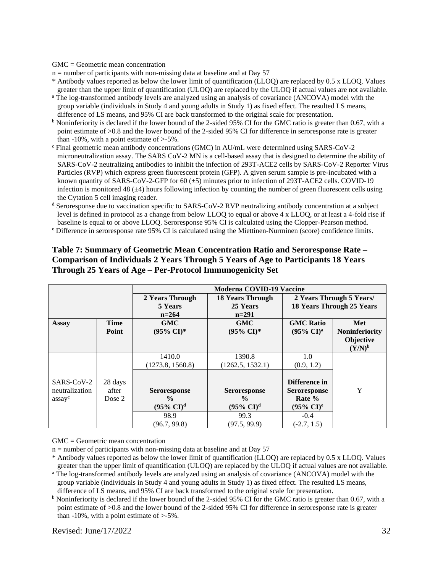GMC = Geometric mean concentration

 $n =$  number of participants with non-missing data at baseline and at Day 57

\* Antibody values reported as below the lower limit of quantification (LLOQ) are replaced by 0.5 x LLOQ. Values greater than the upper limit of quantification (ULOQ) are replaced by the ULOQ if actual values are not available.

- <sup>a</sup> The log-transformed antibody levels are analyzed using an analysis of covariance (ANCOVA) model with the group variable (individuals in Study 4 and young adults in Study 1) as fixed effect. The resulted LS means, difference of LS means, and 95% CI are back transformed to the original scale for presentation.
- b Noninferiority is declared if the lower bound of the 2-sided 95% CI for the GMC ratio is greater than 0.67, with a point estimate of >0.8 and the lower bound of the 2-sided 95% CI for difference in seroresponse rate is greater than  $-10\%$ , with a point estimate of  $> -5\%$ .
- <sup>c</sup> Final geometric mean antibody concentrations (GMC) in AU/mL were determined using SARS-CoV-2 microneutralization assay. The SARS CoV-2 MN is a cell-based assay that is designed to determine the ability of SARS-CoV-2 neutralizing antibodies to inhibit the infection of 293T-ACE2 cells by SARS-CoV-2 Reporter Virus Particles (RVP) which express green fluorescent protein (GFP). A given serum sample is pre-incubated with a known quantity of SARS-CoV-2-GFP for 60 (±5) minutes prior to infection of 293T-ACE2 cells. COVID-19 infection is monitored 48  $(\pm 4)$  hours following infection by counting the number of green fluorescent cells using the Cytation 5 cell imaging reader.
- <sup>d</sup> Seroresponse due to vaccination specific to SARS-CoV-2 RVP neutralizing antibody concentration at a subject level is defined in protocol as a change from below LLOQ to equal or above 4 x LLOQ, or at least a 4-fold rise if baseline is equal to or above LLOQ. Seroresponse 95% CI is calculated using the Clopper-Pearson method.
- <sup>e</sup> Difference in seroresponse rate 95% CI is calculated using the Miettinen-Nurminen (score) confidence limits.

|                                        |                            | <b>Moderna COVID-19 Vaccine</b>                                       |                                                                       |                                                                                   |                        |  |
|----------------------------------------|----------------------------|-----------------------------------------------------------------------|-----------------------------------------------------------------------|-----------------------------------------------------------------------------------|------------------------|--|
|                                        |                            | 2 Years Through                                                       | <b>18 Years Through</b>                                               | 2 Years Through 5 Years/<br><b>18 Years Through 25 Years</b>                      |                        |  |
|                                        |                            | 5 Years<br>$n = 264$                                                  | 25 Years<br>$n=291$                                                   |                                                                                   |                        |  |
| <b>Assay</b>                           | <b>Time</b>                | <b>GMC</b>                                                            | <b>GMC</b>                                                            | <b>GMC Ratio</b>                                                                  | Met                    |  |
|                                        | Point                      | $(95\% \text{ CI})^*$                                                 | $(95\% \text{ CI})^*$                                                 | $(95\% \text{ CI})^{\text{a}}$                                                    | <b>Noninferiority</b>  |  |
|                                        |                            |                                                                       |                                                                       |                                                                                   | Objective<br>$(Y/N)^b$ |  |
|                                        |                            | 1410.0                                                                | 1390.8                                                                | 1.0                                                                               |                        |  |
|                                        |                            | (1273.8, 1560.8)                                                      | (1262.5, 1532.1)                                                      | (0.9, 1.2)                                                                        |                        |  |
| SARS-CoV-2<br>neutralization<br>assayc | 28 days<br>after<br>Dose 2 | <b>Seroresponse</b><br>$\frac{6}{9}$<br>$(95\% \text{ CI})^d$<br>98.9 | <b>Seroresponse</b><br>$\frac{6}{9}$<br>$(95\% \text{ CI})^d$<br>99.3 | Difference in<br><b>Seroresponse</b><br>Rate %<br>$(95\% \text{ CI})^e$<br>$-0.4$ | Y                      |  |
|                                        |                            | (96.7, 99.8)                                                          | (97.5, 99.9)                                                          | $(-2.7, 1.5)$                                                                     |                        |  |

#### **Table 7: Summary of Geometric Mean Concentration Ratio and Seroresponse Rate – Comparison of Individuals 2 Years Through 5 Years of Age to Participants 18 Years Through 25 Years of Age – Per-Protocol Immunogenicity Set**

GMC = Geometric mean concentration

 $n =$  number of participants with non-missing data at baseline and at Day 57

- \* Antibody values reported as below the lower limit of quantification (LLOQ) are replaced by 0.5 x LLOQ. Values greater than the upper limit of quantification (ULOQ) are replaced by the ULOQ if actual values are not available.
- <sup>a</sup> The log-transformed antibody levels are analyzed using an analysis of covariance (ANCOVA) model with the group variable (individuals in Study 4 and young adults in Study 1) as fixed effect. The resulted LS means, difference of LS means, and 95% CI are back transformed to the original scale for presentation.
- <sup>b</sup> Noninferiority is declared if the lower bound of the 2-sided 95% CI for the GMC ratio is greater than 0.67, with a point estimate of >0.8 and the lower bound of the 2-sided 95% CI for difference in seroresponse rate is greater than  $-10\%$ , with a point estimate of  $>5\%$ .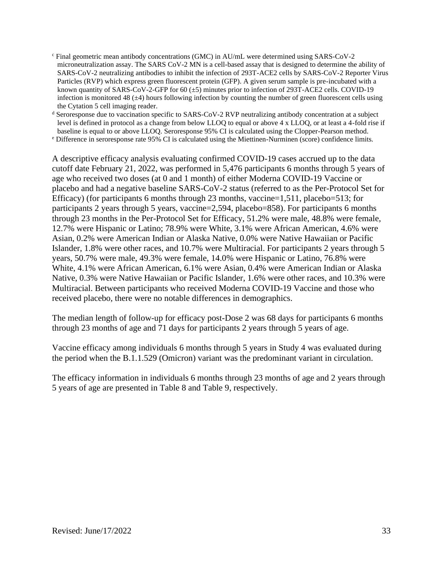<sup>c</sup> Final geometric mean antibody concentrations (GMC) in AU/mL were determined using SARS-CoV-2 microneutralization assay. The SARS CoV-2 MN is a cell-based assay that is designed to determine the ability of SARS-CoV-2 neutralizing antibodies to inhibit the infection of 293T-ACE2 cells by SARS-CoV-2 Reporter Virus Particles (RVP) which express green fluorescent protein (GFP). A given serum sample is pre-incubated with a known quantity of SARS-CoV-2-GFP for 60 (±5) minutes prior to infection of 293T-ACE2 cells. COVID-19 infection is monitored 48  $(\pm 4)$  hours following infection by counting the number of green fluorescent cells using the Cytation 5 cell imaging reader.

<sup>d</sup> Seroresponse due to vaccination specific to SARS-CoV-2 RVP neutralizing antibody concentration at a subject level is defined in protocol as a change from below LLOQ to equal or above 4 x LLOQ, or at least a 4-fold rise if baseline is equal to or above LLOQ. Seroresponse 95% CI is calculated using the Clopper-Pearson method.

<sup>e</sup> Difference in seroresponse rate 95% CI is calculated using the Miettinen-Nurminen (score) confidence limits.

A descriptive efficacy analysis evaluating confirmed COVID-19 cases accrued up to the data cutoff date February 21, 2022, was performed in 5,476 participants 6 months through 5 years of age who received two doses (at 0 and 1 month) of either Moderna COVID-19 Vaccine or placebo and had a negative baseline SARS-CoV-2 status (referred to as the Per-Protocol Set for Efficacy) (for participants 6 months through 23 months, vaccine=1,511, placebo=513; for participants 2 years through 5 years, vaccine=2,594, placebo=858). For participants 6 months through 23 months in the Per-Protocol Set for Efficacy, 51.2% were male, 48.8% were female, 12.7% were Hispanic or Latino; 78.9% were White, 3.1% were African American, 4.6% were Asian, 0.2% were American Indian or Alaska Native, 0.0% were Native Hawaiian or Pacific Islander, 1.8% were other races, and 10.7% were Multiracial. For participants 2 years through 5 years, 50.7% were male, 49.3% were female, 14.0% were Hispanic or Latino, 76.8% were White, 4.1% were African American, 6.1% were Asian, 0.4% were American Indian or Alaska Native, 0.3% were Native Hawaiian or Pacific Islander, 1.6% were other races, and 10.3% were Multiracial. Between participants who received Moderna COVID-19 Vaccine and those who received placebo, there were no notable differences in demographics.

The median length of follow-up for efficacy post-Dose 2 was 68 days for participants 6 months through 23 months of age and 71 days for participants 2 years through 5 years of age.

Vaccine efficacy among individuals 6 months through 5 years in Study 4 was evaluated during the period when the B.1.1.529 (Omicron) variant was the predominant variant in circulation.

The efficacy information in individuals 6 months through 23 months of age and 2 years through 5 years of age are presented in Table 8 and Table 9, respectively.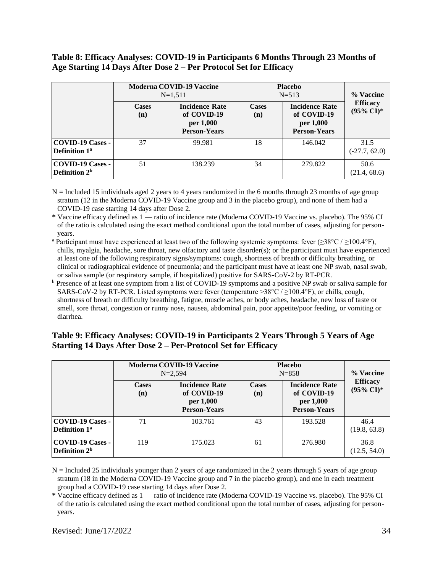### **Table 8: Efficacy Analyses: COVID-19 in Participants 6 Months Through 23 Months of Age Starting 14 Days After Dose 2 – Per Protocol Set for Efficacy**

|                                                      | <b>Moderna COVID-19 Vaccine</b><br>$N=1,511$ |                                                                          | <b>Placebo</b><br>$N = 513$ | % Vaccine                                                                |                                          |
|------------------------------------------------------|----------------------------------------------|--------------------------------------------------------------------------|-----------------------------|--------------------------------------------------------------------------|------------------------------------------|
|                                                      | <b>Cases</b><br>(n)                          | <b>Incidence Rate</b><br>of COVID-19<br>per 1,000<br><b>Person-Years</b> | <b>Cases</b><br>(n)         | <b>Incidence Rate</b><br>of COVID-19<br>per 1,000<br><b>Person-Years</b> | <b>Efficacy</b><br>$(95\% \text{ CI})^*$ |
| <b>COVID-19 Cases -</b><br>Definition 1 <sup>a</sup> | 37                                           | 99.981                                                                   | 18                          | 146.042                                                                  | 31.5<br>$(-27.7, 62.0)$                  |
| <b>COVID-19 Cases -</b><br>Definition 2 <sup>b</sup> | 51                                           | 138.239                                                                  | 34                          | 279.822                                                                  | 50.6<br>(21.4, 68.6)                     |

 $N =$  Included 15 individuals aged 2 years to 4 years randomized in the 6 months through 23 months of age group stratum (12 in the Moderna COVID-19 Vaccine group and 3 in the placebo group), and none of them had a COVID-19 case starting 14 days after Dose 2.

**\*** Vaccine efficacy defined as 1 — ratio of incidence rate (Moderna COVID-19 Vaccine vs. placebo). The 95% CI of the ratio is calculated using the exact method conditional upon the total number of cases, adjusting for personyears.

<sup>a</sup> Participant must have experienced at least two of the following systemic symptoms: fever ( $\geq 38^{\circ}$ C /  $\geq$ 100.4°F), chills, myalgia, headache, sore throat, new olfactory and taste disorder(s); or the participant must have experienced at least one of the following respiratory signs/symptoms: cough, shortness of breath or difficulty breathing, or clinical or radiographical evidence of pneumonia; and the participant must have at least one NP swab, nasal swab, or saliva sample (or respiratory sample, if hospitalized) positive for SARS-CoV-2 by RT-PCR.

<sup>b</sup> Presence of at least one symptom from a list of COVID-19 symptoms and a positive NP swab or saliva sample for SARS-CoV-2 by RT-PCR. Listed symptoms were fever (temperature >38°C / ≥100.4°F), or chills, cough, shortness of breath or difficulty breathing, fatigue, muscle aches, or body aches, headache, new loss of taste or smell, sore throat, congestion or runny nose, nausea, abdominal pain, poor appetite/poor feeding, or vomiting or diarrhea.

### **Table 9: Efficacy Analyses: COVID-19 in Participants 2 Years Through 5 Years of Age Starting 14 Days After Dose 2 – Per-Protocol Set for Efficacy**

|                                                     | <b>Moderna COVID-19 Vaccine</b><br>$N = 2.594$ |                                                                          | <b>Placebo</b><br>$N = 858$ | % Vaccine                                                                |                                          |
|-----------------------------------------------------|------------------------------------------------|--------------------------------------------------------------------------|-----------------------------|--------------------------------------------------------------------------|------------------------------------------|
|                                                     | <b>Cases</b><br>(n)                            | <b>Incidence Rate</b><br>of COVID-19<br>per 1,000<br><b>Person-Years</b> | <b>Cases</b><br>(n)         | <b>Incidence Rate</b><br>of COVID-19<br>per 1,000<br><b>Person-Years</b> | <b>Efficacy</b><br>$(95\% \text{ CI})^*$ |
| COVID-19 Cases -<br><b>Definition 1<sup>a</sup></b> | 71                                             | 103.761                                                                  | 43                          | 193.528                                                                  | 46.4<br>(19.8, 63.8)                     |
| <b>COVID-19 Cases -</b><br>Definition $2b$          | 119                                            | 175.023                                                                  | 61                          | 276.980                                                                  | 36.8<br>(12.5, 54.0)                     |

 $N =$  Included 25 individuals younger than 2 years of age randomized in the 2 years through 5 years of age group stratum (18 in the Moderna COVID-19 Vaccine group and 7 in the placebo group), and one in each treatment group had a COVID-19 case starting 14 days after Dose 2.

**\*** Vaccine efficacy defined as 1 — ratio of incidence rate (Moderna COVID-19 Vaccine vs. placebo). The 95% CI of the ratio is calculated using the exact method conditional upon the total number of cases, adjusting for personyears.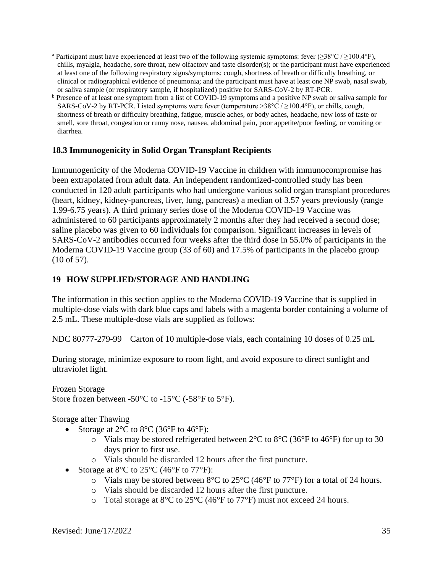- <sup>a</sup> Participant must have experienced at least two of the following systemic symptoms: fever ( $\geq 38^{\circ}$ C /  $\geq$ 100.4°F), chills, myalgia, headache, sore throat, new olfactory and taste disorder(s); or the participant must have experienced at least one of the following respiratory signs/symptoms: cough, shortness of breath or difficulty breathing, or clinical or radiographical evidence of pneumonia; and the participant must have at least one NP swab, nasal swab, or saliva sample (or respiratory sample, if hospitalized) positive for SARS-CoV-2 by RT-PCR.
- <sup>b</sup> Presence of at least one symptom from a list of COVID-19 symptoms and a positive NP swab or saliva sample for SARS-CoV-2 by RT-PCR. Listed symptoms were fever (temperature >38 $^{\circ}$ C /  $\geq$ 100.4 $^{\circ}$ F), or chills, cough, shortness of breath or difficulty breathing, fatigue, muscle aches, or body aches, headache, new loss of taste or smell, sore throat, congestion or runny nose, nausea, abdominal pain, poor appetite/poor feeding, or vomiting or diarrhea.

### **18.3 Immunogenicity in Solid Organ Transplant Recipients**

Immunogenicity of the Moderna COVID-19 Vaccine in children with immunocompromise has been extrapolated from adult data. An independent randomized-controlled study has been conducted in 120 adult participants who had undergone various solid organ transplant procedures (heart, kidney, kidney-pancreas, liver, lung, pancreas) a median of 3.57 years previously (range 1.99-6.75 years). A third primary series dose of the Moderna COVID-19 Vaccine was administered to 60 participants approximately 2 months after they had received a second dose; saline placebo was given to 60 individuals for comparison. Significant increases in levels of SARS-CoV-2 antibodies occurred four weeks after the third dose in 55.0% of participants in the Moderna COVID-19 Vaccine group (33 of 60) and 17.5% of participants in the placebo group (10 of 57).

### **19 HOW SUPPLIED/STORAGE AND HANDLING**

The information in this section applies to the Moderna COVID-19 Vaccine that is supplied in multiple-dose vials with dark blue caps and labels with a magenta border containing a volume of 2.5 mL. These multiple-dose vials are supplied as follows:

NDC 80777-279-99 Carton of 10 multiple-dose vials, each containing 10 doses of 0.25 mL

During storage, minimize exposure to room light, and avoid exposure to direct sunlight and ultraviolet light.

Frozen Storage Store frozen between -50 $^{\circ}$ C to -15 $^{\circ}$ C (-58 $^{\circ}$ F to 5 $^{\circ}$ F).

Storage after Thawing

- Storage at  $2^{\circ}$ C to  $8^{\circ}$ C (36 $^{\circ}$ F to 46 $^{\circ}$ F):
	- $\circ$  Vials may be stored refrigerated between 2°C to 8°C (36°F to 46°F) for up to 30 days prior to first use.
	- o Vials should be discarded 12 hours after the first puncture.
- Storage at  $8^{\circ}$ C to  $25^{\circ}$ C (46 $^{\circ}$ F to  $77^{\circ}$ F):
	- $\circ$  Vials may be stored between 8°C to 25°C (46°F to 77°F) for a total of 24 hours.
	- o Vials should be discarded 12 hours after the first puncture.
	- o Total storage at 8°C to 25°C (46°F to 77°F) must not exceed 24 hours.